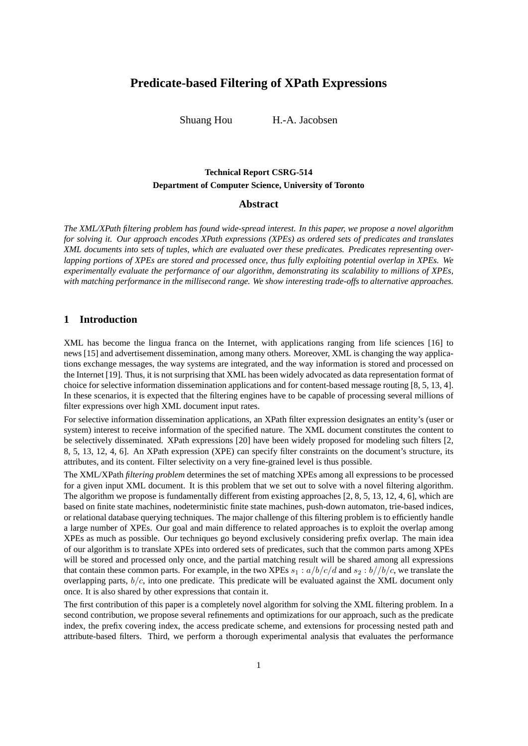# **Predicate-based Filtering of XPath Expressions**

Shuang Hou H.-A. Jacobsen

# **Technical Report CSRG-514 Department of Computer Science, University of Toronto**

#### **Abstract**

*The XML/XPath filtering problem has found wide-spread interest. In this paper, we propose a novel algorithm for solving it. Our approach encodes XPath expressions (XPEs) as ordered sets of predicates and translates XML documents into sets of tuples, which are evaluated over these predicates. Predicates representing overlapping portions of XPEs are stored and processed once, thus fully exploiting potential overlap in XPEs. We experimentally evaluate the performance of our algorithm, demonstrating its scalability to millions of XPEs, with matching performance in the millisecond range. We show interesting trade-offs to alternative approaches.*

### **1 Introduction**

XML has become the lingua franca on the Internet, with applications ranging from life sciences [16] to news [15] and advertisement dissemination, among many others. Moreover, XML is changing the way applications exchange messages, the way systems are integrated, and the way information is stored and processed on the Internet [19]. Thus, it is not surprising that XML has been widely advocated as data representation format of choice for selective information dissemination applications and for content-based message routing [8, 5, 13, 4]. In these scenarios, it is expected that the filtering engines have to be capable of processing several millions of filter expressions over high XML document input rates.

For selective information dissemination applications, an XPath filter expression designates an entity's (user or system) interest to receive information of the specified nature. The XML document constitutes the content to be selectively disseminated. XPath expressions [20] have been widely proposed for modeling such filters [2, 8, 5, 13, 12, 4, 6]. An XPath expression (XPE) can specify filter constraints on the document's structure, its attributes, and its content. Filter selectivity on a very fine-grained level is thus possible.

The XML/XPath *filtering problem* determines the set of matching XPEs among all expressions to be processed for a given input XML document. It is this problem that we set out to solve with a novel filtering algorithm. The algorithm we propose is fundamentally different from existing approaches [2, 8, 5, 13, 12, 4, 6], which are based on finite state machines, nodeterministic finite state machines, push-down automaton, trie-based indices, or relational database querying techniques. The major challenge of this filtering problem is to efficiently handle a large number of XPEs. Our goal and main difference to related approaches is to exploit the overlap among XPEs as much as possible. Our techniques go beyond exclusively considering prefix overlap. The main idea of our algorithm is to translate XPEs into ordered sets of predicates, such that the common parts among XPEs will be stored and processed only once, and the partial matching result will be shared among all expressions that contain these common parts. For example, in the two XPEs  $s_1 : a/b/c/d$  and  $s_2 : b//b/c$ , we translate the overlapping parts,  $b/c$ , into one predicate. This predicate will be evaluated against the XML document only once. It is also shared by other expressions that contain it.

The first contribution of this paper is a completely novel algorithm for solving the XML filtering problem. In a second contribution, we propose several refinements and optimizations for our approach, such as the predicate index, the prefix covering index, the access predicate scheme, and extensions for processing nested path and attribute-based filters. Third, we perform a thorough experimental analysis that evaluates the performance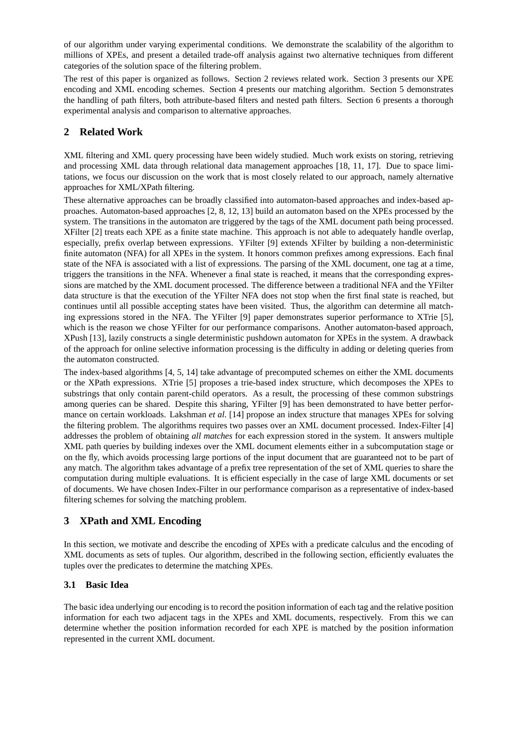of our algorithm under varying experimental conditions. We demonstrate the scalability of the algorithm to millions of XPEs, and present a detailed trade-off analysis against two alternative techniques from different categories of the solution space of the filtering problem.

The rest of this paper is organized as follows. Section 2 reviews related work. Section 3 presents our XPE encoding and XML encoding schemes. Section 4 presents our matching algorithm. Section 5 demonstrates the handling of path filters, both attribute-based filters and nested path filters. Section 6 presents a thorough experimental analysis and comparison to alternative approaches.

# **2 Related Work**

XML filtering and XML query processing have been widely studied. Much work exists on storing, retrieving and processing XML data through relational data management approaches [18, 11, 17]. Due to space limitations, we focus our discussion on the work that is most closely related to our approach, namely alternative approaches for XML/XPath filtering.

These alternative approaches can be broadly classified into automaton-based approaches and index-based approaches. Automaton-based approaches [2, 8, 12, 13] build an automaton based on the XPEs processed by the system. The transitions in the automaton are triggered by the tags of the XML document path being processed. XFilter [2] treats each XPE as a finite state machine. This approach is not able to adequately handle overlap, especially, prefix overlap between expressions. YFilter [9] extends XFilter by building a non-deterministic finite automaton (NFA) for all XPEs in the system. It honors common prefixes among expressions. Each final state of the NFA is associated with a list of expressions. The parsing of the XML document, one tag at a time, triggers the transitions in the NFA. Whenever a final state is reached, it means that the corresponding expressions are matched by the XML document processed. The difference between a traditional NFA and the YFilter data structure is that the execution of the YFilter NFA does not stop when the first final state is reached, but continues until all possible accepting states have been visited. Thus, the algorithm can determine all matching expressions stored in the NFA. The YFilter [9] paper demonstrates superior performance to XTrie [5], which is the reason we chose YFilter for our performance comparisons. Another automaton-based approach, XPush [13], lazily constructs a single deterministic pushdown automaton for XPEs in the system. A drawback of the approach for online selective information processing is the difficulty in adding or deleting queries from the automaton constructed.

The index-based algorithms [4, 5, 14] take advantage of precomputed schemes on either the XML documents or the XPath expressions. XTrie [5] proposes a trie-based index structure, which decomposes the XPEs to substrings that only contain parent-child operators. As a result, the processing of these common substrings among queries can be shared. Despite this sharing, YFilter [9] has been demonstrated to have better performance on certain workloads. Lakshman *et al.* [14] propose an index structure that manages XPEs for solving the filtering problem. The algorithms requires two passes over an XML document processed. Index-Filter [4] addresses the problem of obtaining *all matches* for each expression stored in the system. It answers multiple XML path queries by building indexes over the XML document elements either in a subcomputation stage or on the fly, which avoids processing large portions of the input document that are guaranteed not to be part of any match. The algorithm takes advantage of a prefix tree representation of the set of XML queries to share the computation during multiple evaluations. It is efficient especially in the case of large XML documents or set of documents. We have chosen Index-Filter in our performance comparison as a representative of index-based filtering schemes for solving the matching problem.

# **3 XPath and XML Encoding**

In this section, we motivate and describe the encoding of XPEs with a predicate calculus and the encoding of XML documents as sets of tuples. Our algorithm, described in the following section, efficiently evaluates the tuples over the predicates to determine the matching XPEs.

# **3.1 Basic Idea**

The basic idea underlying our encoding is to record the position information of each tag and the relative position information for each two adjacent tags in the XPEs and XML documents, respectively. From this we can determine whether the position information recorded for each XPE is matched by the position information represented in the current XML document.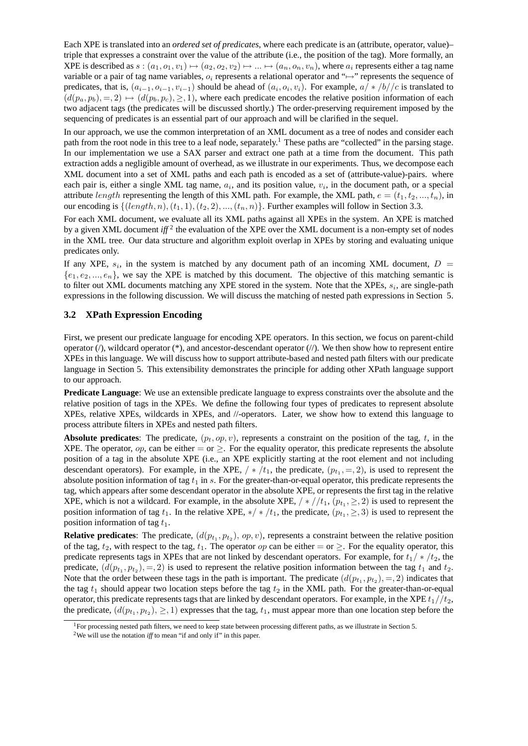Each XPE is translated into an *ordered set of predicates*, where each predicate is an (attribute, operator, value)– triple that expresses a constraint over the value of the attribute (i.e., the position of the tag). More formally, an XPE is described as  $s : (a_1, o_1, v_1) \mapsto (a_2, o_2, v_2) \mapsto ... \mapsto (a_n, o_n, v_n)$ , where  $a_i$  represents either a tag name variable or a pair of tag name variables,  $o_i$  represents a relational operator and " $\rightarrow$ " represents the sequence of predicates, that is,  $(a_{i-1}, o_{i-1}, v_{i-1})$  should be ahead of  $(a_i, o_i, v_i)$ . For example,  $a/*/b//c$  is translated to  $(d(p_a, p_b), =, 2) \rightarrow (d(p_b, p_c), \geq 1)$ , where each predicate encodes the relative position information of each two adjacent tags (the predicates will be discussed shortly.) The order-preserving requirement imposed by the sequencing of predicates is an essential part of our approach and will be clarified in the sequel.

In our approach, we use the common interpretation of an XML document as a tree of nodes and consider each path from the root node in this tree to a leaf node, separately.<sup>1</sup> These paths are "collected" in the parsing stage. In our implementation we use a SAX parser and extract one path at a time from the document. This path extraction adds a negligible amount of overhead, as we illustrate in our experiments. Thus, we decompose each XML document into a set of XML paths and each path is encoded as a set of (attribute-value)-pairs. where each pair is, either a single XML tag name,  $a_i$ , and its position value,  $v_i$ , in the document path, or a special attribute length representing the length of this XML path. For example, the XML path,  $e = (t_1, t_2, ..., t_n)$ , in our encoding is  $\{(\text{length}, n), (t_1, 1), (t_2, 2), ..., (t_n, n)\}$ . Further examples will follow in Section 3.3.

For each XML document, we evaluate all its XML paths against all XPEs in the system. An XPE is matched by a given XML document  $iff^2$  the evaluation of the XPE over the XML document is a non-empty set of nodes in the XML tree. Our data structure and algorithm exploit overlap in XPEs by storing and evaluating unique predicates only.

If any XPE,  $s_i$ , in the system is matched by any document path of an incoming XML document,  $D =$  $\{e_1, e_2, ..., e_n\}$ , we say the XPE is matched by this document. The objective of this matching semantic is to filter out XML documents matching any XPE stored in the system. Note that the XPEs,  $s_i$ , are single-path expressions in the following discussion. We will discuss the matching of nested path expressions in Section 5.

### **3.2 XPath Expression Encoding**

First, we present our predicate language for encoding XPE operators. In this section, we focus on parent-child operator  $\langle \cdot \rangle$ , wildcard operator  $(*)$ , and ancestor-descendant operator  $\langle \cdot \rangle$ . We then show how to represent entire XPEs in this language. We will discuss how to support attribute-based and nested path filters with our predicate language in Section 5. This extensibility demonstrates the principle for adding other XPath language support to our approach.

**Predicate Language**: We use an extensible predicate language to express constraints over the absolute and the relative position of tags in the XPEs. We define the following four types of predicates to represent absolute XPEs, relative XPEs, wildcards in XPEs, and //-operators. Later, we show how to extend this language to process attribute filters in XPEs and nested path filters.

**Absolute predicates**: The predicate,  $(p_t, op, v)$ , represents a constraint on the position of the tag, t, in the XPE. The operator, op, can be either  $=$  or  $\geq$ . For the equality operator, this predicate represents the absolute position of a tag in the absolute XPE (i.e., an XPE explicitly starting at the root element and not including descendant operators). For example, in the XPE,  $/ * /t_1$ , the predicate,  $(p_{t_1}, =, 2)$ , is used to represent the absolute position information of tag  $t_1$  in s. For the greater-than-or-equal operator, this predicate represents the tag, which appears after some descendant operator in the absolute XPE, or represents the first tag in the relative XPE, which is not a wildcard. For example, in the absolute XPE,  $/*//t_1$ ,  $(p_{t_1}, \ge 2)$  is used to represent the position information of tag  $t_1$ . In the relative XPE,  $*/+t_1$ , the predicate,  $(p_{t_1}, \geq, 3)$  is used to represent the position information of tag  $t_1$ .

**Relative predicates**: The predicate,  $(d(p_{t_1}, p_{t_2}), op, v)$ , represents a constraint between the relative position of the tag,  $t_2$ , with respect to the tag,  $t_1$ . The operator *op* can be either = or  $\geq$ . For the equality operator, this predicate represents tags in XPEs that are not linked by descendant operators. For example, for  $t_1$ /  $*$ / $t_2$ , the predicate,  $(d(p_{t_1}, p_{t_2}), =, 2)$  is used to represent the relative position information between the tag  $t_1$  and  $t_2$ . Note that the order between these tags in the path is important. The predicate  $(d(p_{t_1}, p_{t_2}), =, 2)$  indicates that the tag  $t_1$  should appear two location steps before the tag  $t_2$  in the XML path. For the greater-than-or-equal operator, this predicate represents tags that are linked by descendant operators. For example, in the XPE  $t_1//t_2$ , the predicate,  $(d(p_{t_1}, p_{t_2}), \geq, 1)$  expresses that the tag,  $t_1$ , must appear more than one location step before the

 ${}^{1}$ For processing nested path filters, we need to keep state between processing different paths, as we illustrate in Section 5.

<sup>&</sup>lt;sup>2</sup>We will use the notation *iff* to mean "if and only if" in this paper.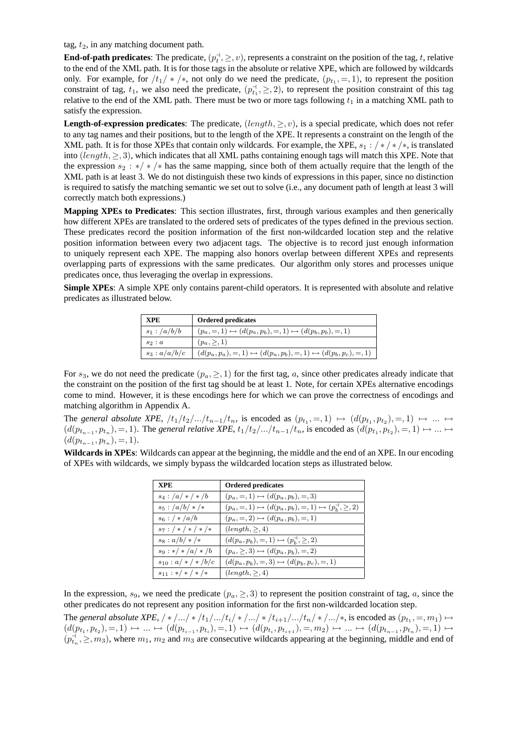tag,  $t_2$ , in any matching document path.

**End-of-path predicates**: The predicate,  $(p_t^+, \geq, v)$ , represents a constraint on the position of the tag, t, relative to the end of the XML path. It is for those tags in the absolute or relative XPE, which are followed by wildcards only. For example, for  $/t_1$  / \* /\*, not only do we need the predicate,  $(p_{t_1}, =, 1)$ , to represent the position constraint of tag,  $t_1$ , we also need the predicate,  $(p_{t_1}^{\perp}, \ge 2)$ , to represent the position constraint of this tag relative to the end of the XML path. There must be two or more tags following  $t_1$  in a matching XML path to satisfy the expression.

**Length-of-expression predicates**: The predicate,  $(lenath, > v)$ , is a special predicate, which does not refer to any tag names and their positions, but to the length of the XPE. It represents a constraint on the length of the XML path. It is for those XPEs that contain only wildcards. For example, the XPE,  $s_1$ : / \* / \*, is translated into (length,  $\geq$ , 3), which indicates that all XML paths containing enough tags will match this XPE. Note that the expression  $s_2 : */ * \nightharpoonup *$  has the same mapping, since both of them actually require that the length of the XML path is at least 3. We do not distinguish these two kinds of expressions in this paper, since no distinction is required to satisfy the matching semantic we set out to solve (i.e., any document path of length at least 3 will correctly match both expressions.)

**Mapping XPEs to Predicates**: This section illustrates, first, through various examples and then generically how different XPEs are translated to the ordered sets of predicates of the types defined in the previous section. These predicates record the position information of the first non-wildcarded location step and the relative position information between every two adjacent tags. The objective is to record just enough information to uniquely represent each XPE. The mapping also honors overlap between different XPEs and represents overlapping parts of expressions with the same predicates. Our algorithm only stores and processes unique predicates once, thus leveraging the overlap in expressions.

**Simple XPEs**: A simple XPE only contains parent-child operators. It is represented with absolute and relative predicates as illustrated below.

| <b>XPE</b>            | <b>Ordered predicates</b>                                                     |  |
|-----------------------|-------------------------------------------------------------------------------|--|
| $s_1$ : $\frac{a}{b}$ | $(p_a, =, 1) \mapsto (d(p_a, p_b), =, 1) \mapsto (d(p_b, p_b), =, 1)$         |  |
| $s_2 : a$             | $(p_a, \geq, 1)$                                                              |  |
| $s_3 : a/a/b/c$       | $(d(p_a, p_a), =, 1) \mapsto (d(p_a, p_b), =, 1) \mapsto (d(p_b, p_c), =, 1)$ |  |

For  $s_3$ , we do not need the predicate  $(p_a, \ge 1)$  for the first tag, a, since other predicates already indicate that the constraint on the position of the first tag should be at least 1. Note, for certain XPEs alternative encodings come to mind. However, it is these encodings here for which we can prove the correctness of encodings and matching algorithm in Appendix A.

The *general absolute XPE*,  $/t_1/t_2/\dots/t_{n-1}/t_n$ , is encoded as  $(p_{t_1},=,1) \mapsto (d(p_{t_1}, p_{t_2}),=,1) \mapsto \dots \mapsto$  $(d(p_{t_{n-1}}, p_{t_n}), =, 1)$ . The *general relative XPE*,  $t_1/t_2/\ldots/t_{n-1}/t_n$ , is encoded as  $(d(p_{t_1}, p_{t_2}), =, 1) \mapsto \ldots \mapsto$  $(d(p_{t_{n-1}}, p_{t_n}), =, 1).$ 

**Wildcards in XPEs**: Wildcards can appear at the beginning, the middle and the end of an XPE. In our encoding of XPEs with wildcards, we simply bypass the wildcarded location steps as illustrated below.

| XPE                         | <b>Ordered predicates</b>                                                  |
|-----------------------------|----------------------------------------------------------------------------|
| $s_4$ : $/a$ / * / * /b     | $(p_a, =, 1) \mapsto (d(p_a, p_b), =, 3)$                                  |
| $s_5$ : $\frac{a}{b}$ * /*  | $(p_a, =, 1) \mapsto (d(p_a, p_b), =, 1) \mapsto (p_b^{\dagger}, \geq, 2)$ |
| $s_6$ : $\frac{1}{2}$ /a/b  | $(p_a, =, 2) \mapsto (d(p_a, p_b), =, 1)$                                  |
| $s_7$ : $/*$ $/*$ $/*$ $/*$ | (lenqth, > 4)                                                              |
| $s_8: a/b/*$ /*             | $(d(p_a, p_b), =, 1) \mapsto (p_b^{\dagger}, \geq, 2)$                     |
| $s_9:*/*/a/*b$              | $(p_a, \geq, 3) \mapsto (d(p_a, p_b), =, 2)$                               |
| $s_{10}: a/* /* /b/c$       | $(d(p_a, p_b), =, 3) \mapsto (d(p_b, p_c), =, 1)$                          |
| $s_{11}:*/*/*/*/$           | (lenqth, > 4)                                                              |

In the expression,  $s_9$ , we need the predicate  $(p_a, \geq 3)$  to represent the position constraint of tag, a, since the other predicates do not represent any position information for the first non-wildcarded location step.

The *general absolute XPE*,  $/$  \*  $/.../$  \*  $/t_1/.../t_i/$  \*  $/.../$  \*  $/t_{i+1}/.../t_n/$  \*  $/.../$  \*, is encoded as  $(p_{t_1}, =, m_1) \mapsto$  $(d(p_{t_1}, p_{t_2}), =, 1) \mapsto \dots \mapsto (d(p_{t_{i-1}}, p_{t_i}), =, 1) \mapsto (d(p_{t_i}, p_{t_{i+1}}), =, m_2) \mapsto \dots \mapsto (d(p_{t_{n-1}}, p_{t_n}), =, 1) \mapsto$  $(p_{t_n}^+, \ge, m_3)$ , where  $m_1, m_2$  and  $m_3$  are consecutive wildcards appearing at the beginning, middle and end of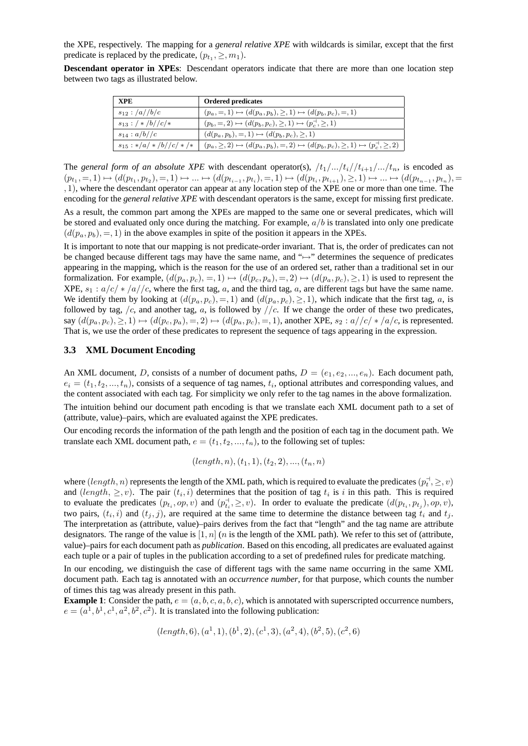the XPE, respectively. The mapping for a *general relative XPE* with wildcards is similar, except that the first predicate is replaced by the predicate,  $(p_{t_1}, \geq, m_1)$ .

**Descendant operator in XPEs**: Descendant operators indicate that there are more than one location step between two tags as illustrated below.

| <b>XPE</b>                 | <b>Ordered predicates</b>                                                                                    |
|----------------------------|--------------------------------------------------------------------------------------------------------------|
| $s_{12}$ : $\frac{a}{b/c}$ | $(p_a, =, 1) \mapsto (d(p_a, p_b), \geq, 1) \mapsto (d(p_b, p_c), =, 1)$                                     |
| $s_{13}$ : $/*$ /b//c/*    | $(p_b, =, 2) \mapsto (d(p_b, p_c), \geq, 1) \mapsto (p_c^{\dagger}, \geq, 1)$                                |
| $s_{14}: a/b//c$           | $(d(p_a, p_b), =, 1) \mapsto (d(p_b, p_c), \geq, 1)$                                                         |
| $s_{15}:*/a/*/b//c/*/*$    | $(p_a, \geq, 2) \mapsto (d(p_a, p_b), =, 2) \mapsto (d(p_b, p_c), \geq, 1) \mapsto (p_c^{\dagger}, \geq, 2)$ |

The *general form of an absolute XPE* with descendant operator(s),  $/t_1/.../t_i/t_{i+1}/.../t_n$ , is encoded as  $(p_{t_1},=,1) \mapsto (d(p_{t_1},p_{t_2}),=,1) \mapsto \ldots \mapsto (d(p_{t_{i-1}},p_{t_i}),=,1) \mapsto (d(p_{t_i},p_{t_{i+1}}),\geq,1) \mapsto \ldots \mapsto (d(p_{t_{n-1}},p_{t_n}),=,1) \mapsto (d(p_{t_n},p_{t_n}),\geq,1) \mapsto \ldots \mapsto (d(p_{t_n-1},p_{t_n}),\geq,1) \mapsto (d(p_{t_n},p_{t_n}),\geq,1) \mapsto (d(p_{t_n},p_{t_n}),\geq,1) \mapsto (d(p_{t_n},p_{t_n}),\$ , 1), where the descendant operator can appear at any location step of the XPE one or more than one time. The encoding for the *general relative XPE* with descendant operators is the same, except for missing first predicate.

As a result, the common part among the XPEs are mapped to the same one or several predicates, which will be stored and evaluated only once during the matching. For example,  $a/b$  is translated into only one predicate  $(d(p_a, p_b), = 1)$  in the above examples in spite of the position it appears in the XPEs.

It is important to note that our mapping is not predicate-order invariant. That is, the order of predicates can not be changed because different tags may have the same name, and "→" determines the sequence of predicates appearing in the mapping, which is the reason for the use of an ordered set, rather than a traditional set in our formalization. For example,  $(d(p_a, p_c), =, 1) \mapsto (d(p_c, p_a), =, 2) \mapsto (d(p_a, p_c), \geq, 1)$  is used to represent the XPE,  $s_1 : a/c \neq a//c$ , where the first tag, a, and the third tag, a, are different tags but have the same name. We identify them by looking at  $(d(p_a, p_c), = 1)$  and  $(d(p_a, p_c), \ge 1)$ , which indicate that the first tag, a, is followed by tag,  $/c$ , and another tag, a, is followed by  $//c$ . If we change the order of these two predicates, say  $(d(p_a, p_c), \geq 1) \mapsto (d(p_c, p_a), = 2) \mapsto (d(p_a, p_c), = 1)$ , another XPE,  $s_2 : a//c/* /a/c$ , is represented. That is, we use the order of these predicates to represent the sequence of tags appearing in the expression.

#### **3.3 XML Document Encoding**

An XML document, D, consists of a number of document paths,  $D = (e_1, e_2, \ldots, e_n)$ . Each document path,  $e_i = (t_1, t_2, ..., t_n)$ , consists of a sequence of tag names,  $t_i$ , optional attributes and corresponding values, and the content associated with each tag. For simplicity we only refer to the tag names in the above formalization.

The intuition behind our document path encoding is that we translate each XML document path to a set of (attribute, value)–pairs, which are evaluated against the XPE predicates.

Our encoding records the information of the path length and the position of each tag in the document path. We translate each XML document path,  $e = (t_1, t_2, ..., t_n)$ , to the following set of tuples:

$$
(length, n), (t_1, 1), (t_2, 2), ..., (t_n, n)
$$

where  $(length, n)$  represents the length of the XML path, which is required to evaluate the predicates  $(p_t^+, \geq, v)$ and  $(length, \geq, v)$ . The pair  $(t_i, i)$  determines that the position of tag  $t_i$  is i in this path. This is required to evaluate the predicates  $(p_{t_i}, op, v)$  and  $(p_{t_i}^{\perp}, \geq, v)$ . In order to evaluate the predicate  $(d(p_{t_i}, p_{t_j}), op, v)$ , two pairs,  $(t_i, i)$  and  $(t_j, j)$ , are required at the same time to determine the distance between tag  $t_i$  and  $t_j$ . The interpretation as (attribute, value)–pairs derives from the fact that "length" and the tag name are attribute designators. The range of the value is  $[1, n]$  (*n* is the length of the XML path). We refer to this set of (attribute, value)–pairs for each document path as *publication*. Based on this encoding, all predicates are evaluated against each tuple or a pair of tuples in the publication according to a set of predefined rules for predicate matching.

In our encoding, we distinguish the case of different tags with the same name occurring in the same XML document path. Each tag is annotated with an *occurrence number*, for that purpose, which counts the number of times this tag was already present in this path.

**Example 1**: Consider the path,  $e = (a, b, c, a, b, c)$ , which is annotated with superscripted occurrence numbers,  $e = (a^1, b^1, c^1, a^2, b^2, c^2)$ . It is translated into the following publication:

 $(length, 6), (a<sup>1</sup>, 1), (b<sup>1</sup>, 2), (c<sup>1</sup>, 3), (a<sup>2</sup>, 4), (b<sup>2</sup>, 5), (c<sup>2</sup>, 6)$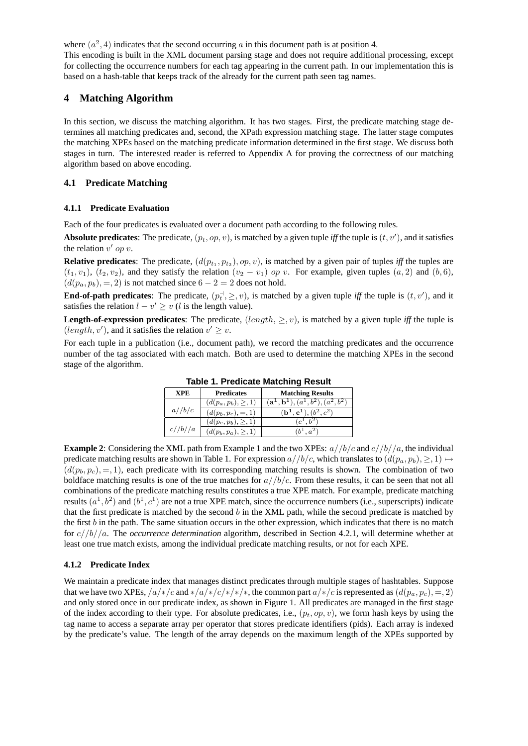where  $(a^2, 4)$  indicates that the second occurring a in this document path is at position 4. This encoding is built in the XML document parsing stage and does not require additional processing, except for collecting the occurrence numbers for each tag appearing in the current path. In our implementation this is based on a hash-table that keeps track of the already for the current path seen tag names.

# **4 Matching Algorithm**

In this section, we discuss the matching algorithm. It has two stages. First, the predicate matching stage determines all matching predicates and, second, the XPath expression matching stage. The latter stage computes the matching XPEs based on the matching predicate information determined in the first stage. We discuss both stages in turn. The interested reader is referred to Appendix A for proving the correctness of our matching algorithm based on above encoding.

# **4.1 Predicate Matching**

### **4.1.1 Predicate Evaluation**

Each of the four predicates is evaluated over a document path according to the following rules.

**Absolute predicates**: The predicate,  $(p_t, op, v)$ , is matched by a given tuple *iff* the tuple is  $(t, v')$ , and it satisfies the relation  $v'$  op  $v$ .

**Relative predicates**: The predicate,  $(d(p_{t_1}, p_{t_2}), op, v)$ , is matched by a given pair of tuples *iff* the tuples are  $(t_1, v_1)$ ,  $(t_2, v_2)$ , and they satisfy the relation  $(v_2 - v_1)$  op v. For example, given tuples  $(a, 2)$  and  $(b, 6)$ ,  $(d(p_a, p_b), =, 2)$  is not matched since  $6 - 2 = 2$  does not hold.

**End-of-path predicates**: The predicate,  $(p_t^+, \geq, v)$ , is matched by a given tuple *iff* the tuple is  $(t, v')$ , and it satisfies the relation  $l - v' \ge v$  (*l* is the length value).

**Length-of-expression predicates**: The predicate,  $(lenath, \geq, v)$ , is matched by a given tuple *iff* the tuple is  $(length, v')$ , and it satisfies the relation  $v' \geq v$ .

For each tuple in a publication (i.e., document path), we record the matching predicates and the occurrence number of the tag associated with each match. Both are used to determine the matching XPEs in the second stage of the algorithm.

| .          |                          |                                      |  |
|------------|--------------------------|--------------------------------------|--|
| <b>XPE</b> | <b>Predicates</b>        | <b>Matching Results</b>              |  |
|            | $(d(p_a, p_b), \geq, 1)$ | $(a^1, b^1), (a^1, b^2), (a^2, b^2)$ |  |
| a//b/c     | $(d(p_b, p_c), =, 1)$    | $({\bf b}^1,{\bf c}^1), (b^2,c^2)$   |  |
|            | $(d(p_c, p_b), \geq, 1)$ | $(c^1, b^2)$                         |  |
| c//b//a    | $(d(p_b, p_a), \geq, 1)$ | $(b^{1}, a^{2})$                     |  |

**Table 1. Predicate Matching Result**

**Example 2**: Considering the XML path from Example 1 and the two XPEs:  $a//b/c$  and  $c//b/a$ , the individual predicate matching results are shown in Table 1. For expression  $a//b/c$ , which translates to  $(d(p_a, p_b), \geq, 1) \mapsto$  $(d(p_b, p_c), = 1)$ , each predicate with its corresponding matching results is shown. The combination of two boldface matching results is one of the true matches for  $a//b/c$ . From these results, it can be seen that not all combinations of the predicate matching results constitutes a true XPE match. For example, predicate matching results  $(a^1, b^2)$  and  $(b^1, c^1)$  are not a true XPE match, since the occurrence numbers (i.e., superscripts) indicate that the first predicate is matched by the second b in the XML path, while the second predicate is matched by the first  $b$  in the path. The same situation occurs in the other expression, which indicates that there is no match for c//b//a. The *occurrence determination* algorithm, described in Section 4.2.1, will determine whether at least one true match exists, among the individual predicate matching results, or not for each XPE.

# **4.1.2 Predicate Index**

We maintain a predicate index that manages distinct predicates through multiple stages of hashtables. Suppose that we have two XPEs,  $/a$ /∗/c and \*/a/\*/c/\*/\*/\*, the common part  $a$ /\*/c is represented as  $(d(p_a, p_c) = 0)$ and only stored once in our predicate index, as shown in Figure 1. All predicates are managed in the first stage of the index according to their type. For absolute predicates, i.e.,  $(p_t, op, v)$ , we form hash keys by using the tag name to access a separate array per operator that stores predicate identifiers (pids). Each array is indexed by the predicate's value. The length of the array depends on the maximum length of the XPEs supported by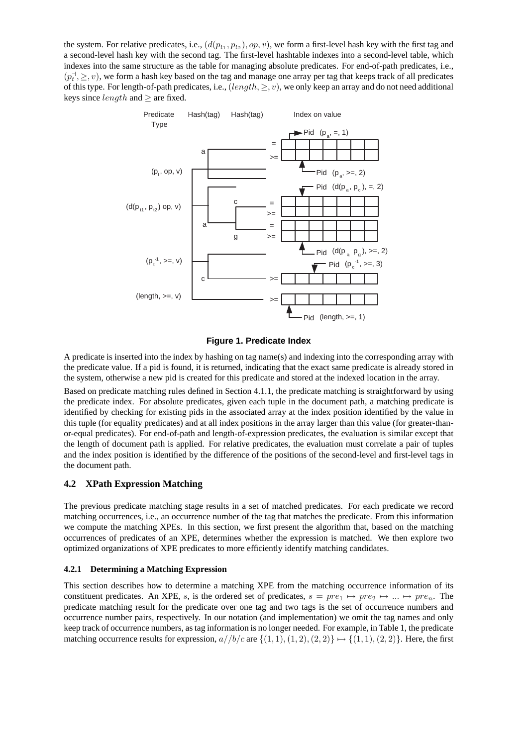the system. For relative predicates, i.e.,  $(d(p_{t_1}, p_{t_2}), op, v)$ , we form a first-level hash key with the first tag and a second-level hash key with the second tag. The first-level hashtable indexes into a second-level table, which indexes into the same structure as the table for managing absolute predicates. For end-of-path predicates, i.e.,  $(p_t^+, \geq, v)$ , we form a hash key based on the tag and manage one array per tag that keeps track of all predicates of this type. For length-of-path predicates, i.e.,  $(length, \geq, v)$ , we only keep an array and do not need additional keys since *length* and  $\geq$  are fixed.



### **Figure 1. Predicate Index**

A predicate is inserted into the index by hashing on tag name(s) and indexing into the corresponding array with the predicate value. If a pid is found, it is returned, indicating that the exact same predicate is already stored in the system, otherwise a new pid is created for this predicate and stored at the indexed location in the array.

Based on predicate matching rules defined in Section 4.1.1, the predicate matching is straightforward by using the predicate index. For absolute predicates, given each tuple in the document path, a matching predicate is identified by checking for existing pids in the associated array at the index position identified by the value in this tuple (for equality predicates) and at all index positions in the array larger than this value (for greater-thanor-equal predicates). For end-of-path and length-of-expression predicates, the evaluation is similar except that the length of document path is applied. For relative predicates, the evaluation must correlate a pair of tuples and the index position is identified by the difference of the positions of the second-level and first-level tags in the document path.

# **4.2 XPath Expression Matching**

The previous predicate matching stage results in a set of matched predicates. For each predicate we record matching occurrences, i.e., an occurrence number of the tag that matches the predicate. From this information we compute the matching XPEs. In this section, we first present the algorithm that, based on the matching occurrences of predicates of an XPE, determines whether the expression is matched. We then explore two optimized organizations of XPE predicates to more efficiently identify matching candidates.

### **4.2.1 Determining a Matching Expression**

This section describes how to determine a matching XPE from the matching occurrence information of its constituent predicates. An XPE, s, is the ordered set of predicates,  $s = pre_1 \mapsto pre_2 \mapsto ... \mapsto pre_n$ . The predicate matching result for the predicate over one tag and two tags is the set of occurrence numbers and occurrence number pairs, respectively. In our notation (and implementation) we omit the tag names and only keep track of occurrence numbers, as tag information is no longer needed. For example, in Table 1, the predicate matching occurrence results for expression,  $a//b/c$  are  $\{(1, 1), (1, 2), (2, 2)\} \rightarrow \{(1, 1), (2, 2)\}$ . Here, the first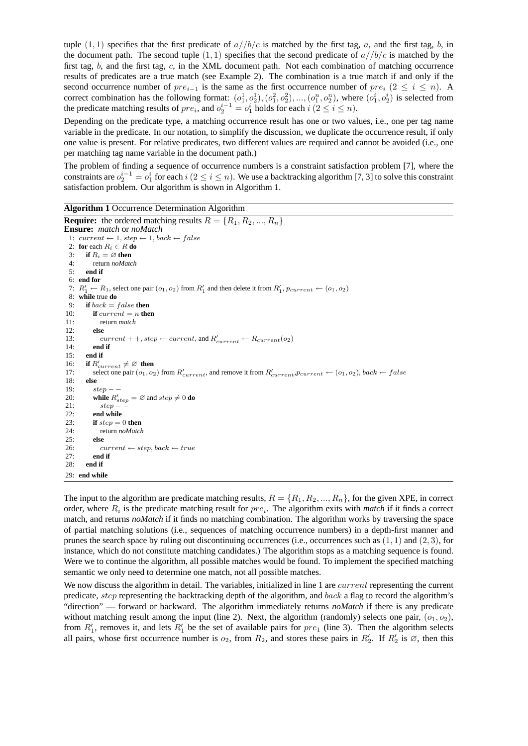tuple (1, 1) specifies that the first predicate of  $a//b/c$  is matched by the first tag, a, and the first tag, b, in the document path. The second tuple (1, 1) specifies that the second predicate of  $a//b/c$  is matched by the first tag,  $b$ , and the first tag,  $c$ , in the XML document path. Not each combination of matching occurrence results of predicates are a true match (see Example 2). The combination is a true match if and only if the second occurrence number of  $pre_{i-1}$  is the same as the first occurrence number of  $pre_i$  (2  $\le i \le n$ ). A correct combination has the following format:  $(o_1^1, o_2^1), (o_1^2, o_2^2), ..., (o_1^n, o_2^n)$ , where  $(o_1^i, o_2^i)$  is selected from the predicate matching results of  $pre_i$ , and  $o_2^{i-1} = o_1^i$  holds for each  $i$   $(2 \le i \le n)$ .

Depending on the predicate type, a matching occurrence result has one or two values, i.e., one per tag name variable in the predicate. In our notation, to simplify the discussion, we duplicate the occurrence result, if only one value is present. For relative predicates, two different values are required and cannot be avoided (i.e., one per matching tag name variable in the document path.)

The problem of finding a sequence of occurrence numbers is a constraint satisfaction problem [7], where the constraints are  $o_2^{i-1} = o_1^i$  for each  $i$   $(2 \le i \le n)$ . We use a backtracking algorithm [7, 3] to solve this constraint satisfaction problem. Our algorithm is shown in Algorithm 1.

**Algorithm 1** Occurrence Determination Algorithm

```
Require: the ordered matching results R = \{R_1, R_2, ..., R_n\}Ensure: match or noMatch
 1: current \leftarrow 1, step \leftarrow 1, back \leftarrow false2: for each R_i \in R do
 3: if R_i = \emptyset then
 4: return noMatch
 5: end if
 6: end for
  7: R'_1 \leftarrow R_1, select one pair (o_1, o_2) from R'_1 and then delete it from R'_1, p_{current} \leftarrow (o_1, o_2)8: while true do
 9: if back = false then
10: if current = n then
11: return match
12: else
 13: current + +, step \leftarrow current, and R'_{current} \leftarrow R_{current}(o_2)14: end if
15: end if
 16: if R'_{current} \neq \emptyset then
 17: select one pair (o_1, o_2) from R'_{current}, and remove it from R'_{current}, p_{current} \leftarrow (o_1, o_2), back \leftarrow false18: else
19: step - -20: while R'_{step} = \emptyset and step \neq 0 do
21: step
22: end while
23: if step = 0 then<br>24: return noMatcl
            24: return noMatch
25: else
26: current \leftarrow step, back \leftarrow true
27: end if
28: end if
29: end while
```
The input to the algorithm are predicate matching results,  $R = \{R_1, R_2, ..., R_n\}$ , for the given XPE, in correct order, where  $R_i$  is the predicate matching result for  $pre_i$ . The algorithm exits with *match* if it finds a correct match, and returns *noMatch* if it finds no matching combination. The algorithm works by traversing the space of partial matching solutions (i.e., sequences of matching occurrence numbers) in a depth-first manner and prunes the search space by ruling out discontinuing occurrences (i.e., occurrences such as  $(1, 1)$  and  $(2, 3)$ , for instance, which do not constitute matching candidates.) The algorithm stops as a matching sequence is found. Were we to continue the algorithm, all possible matches would be found. To implement the specified matching semantic we only need to determine one match, not all possible matches.

We now discuss the algorithm in detail. The variables, initialized in line 1 are *current* representing the current predicate, step representing the backtracking depth of the algorithm, and back a flag to record the algorithm's "direction" — forward or backward. The algorithm immediately returns *noMatch* if there is any predicate without matching result among the input (line 2). Next, the algorithm (randomly) selects one pair,  $(o_1, o_2)$ , from  $R'_1$ , removes it, and lets  $R'_1$  be the set of available pairs for  $pre_1$  (line 3). Then the algorithm selects all pairs, whose first occurrence number is  $o_2$ , from  $R_2$ , and stores these pairs in  $R'_2$ . If  $R'_2$  is  $\emptyset$ , then this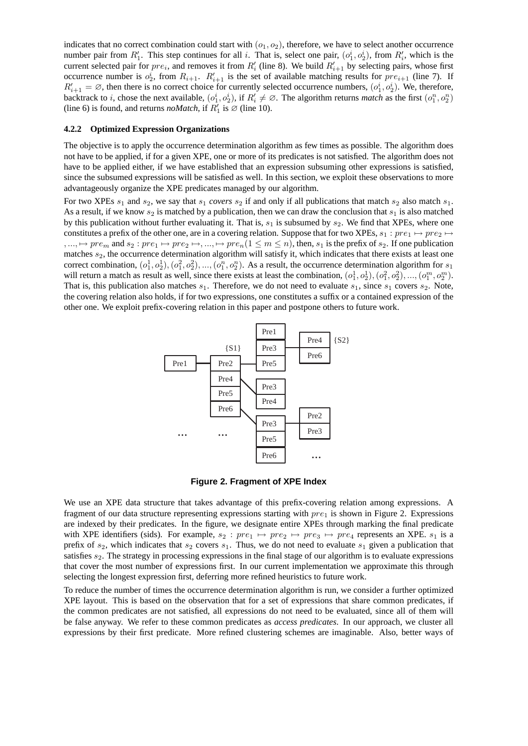indicates that no correct combination could start with  $(o_1, o_2)$ , therefore, we have to select another occurrence number pair from  $R'_1$ . This step continues for all i. That is, select one pair,  $(o_1^i, o_2^i)$ , from  $R'_i$ , which is the current selected pair for  $pre_i$ , and removes it from  $R'_i$  (line 8). We build  $R'_{i+1}$  by selecting pairs, whose first occurrence number is  $o_2^i$ , from  $R_{i+1}$ .  $R'_{i+1}$  is the set of available matching results for  $pre_{i+1}$  (line 7). If  $R'_{i+1} = \emptyset$ , then there is no correct choice for currently selected occurrence numbers,  $(o_1^i, o_2^i)$ . We, therefore, backtrack to *i*, chose the next available,  $(o_1^i, o_2^i)$ , if  $R'_i \neq \emptyset$ . The algorithm returns *match* as the first  $(o_1^n, o_2^n)$ (line 6) is found, and returns *noMatch*, if  $R'_1$  is  $\emptyset$  (line 10).

#### **4.2.2 Optimized Expression Organizations**

The objective is to apply the occurrence determination algorithm as few times as possible. The algorithm does not have to be applied, if for a given XPE, one or more of its predicates is not satisfied. The algorithm does not have to be applied either, if we have established that an expression subsuming other expressions is satisfied, since the subsumed expressions will be satisfied as well. In this section, we exploit these observations to more advantageously organize the XPE predicates managed by our algorithm.

For two XPEs  $s_1$  and  $s_2$ , we say that  $s_1$  *covers*  $s_2$  if and only if all publications that match  $s_2$  also match  $s_1$ . As a result, if we know  $s_2$  is matched by a publication, then we can draw the conclusion that  $s_1$  is also matched by this publication without further evaluating it. That is,  $s_1$  is subsumed by  $s_2$ . We find that XPEs, where one constitutes a prefix of the other one, are in a covering relation. Suppose that for two XPEs,  $s_1 : pre_1 \mapsto pre_2 \mapsto$ , ...,  $\mapsto pre_m$  and  $s_2: pre_1 \mapsto pre_2 \mapsto \ldots \mapsto pre_n(1 \le m \le n)$ , then,  $s_1$  is the prefix of  $s_2$ . If one publication matches  $s<sub>2</sub>$ , the occurrence determination algorithm will satisfy it, which indicates that there exists at least one correct combination,  $(o_1^1, o_2^1), (o_1^2, o_2^2), ..., (o_1^n, o_2^n)$ . As a result, the occurrence determination algorithm for  $s_1$ will return a match as result as well, since there exists at least the combination,  $(o_1^1, o_2^1), (o_1^2, o_2^2), ..., (o_1^m, o_2^m)$ . That is, this publication also matches  $s_1$ . Therefore, we do not need to evaluate  $s_1$ , since  $s_1$  covers  $s_2$ . Note, the covering relation also holds, if for two expressions, one constitutes a suffix or a contained expression of the other one. We exploit prefix-covering relation in this paper and postpone others to future work.



**Figure 2. Fragment of XPE Index**

We use an XPE data structure that takes advantage of this prefix-covering relation among expressions. A fragment of our data structure representing expressions starting with  $pre_1$  is shown in Figure 2. Expressions are indexed by their predicates. In the figure, we designate entire XPEs through marking the final predicate with XPE identifiers (sids). For example,  $s_2 : pre_1 \mapsto pre_2 \mapsto pre_3 \mapsto pre_4$  represents an XPE.  $s_1$  is a prefix of  $s_2$ , which indicates that  $s_2$  covers  $s_1$ . Thus, we do not need to evaluate  $s_1$  given a publication that satisfies  $s<sub>2</sub>$ . The strategy in processing expressions in the final stage of our algorithm is to evaluate expressions that cover the most number of expressions first. In our current implementation we approximate this through selecting the longest expression first, deferring more refined heuristics to future work.

To reduce the number of times the occurrence determination algorithm is run, we consider a further optimized XPE layout. This is based on the observation that for a set of expressions that share common predicates, if the common predicates are not satisfied, all expressions do not need to be evaluated, since all of them will be false anyway. We refer to these common predicates as *access predicates*. In our approach, we cluster all expressions by their first predicate. More refined clustering schemes are imaginable. Also, better ways of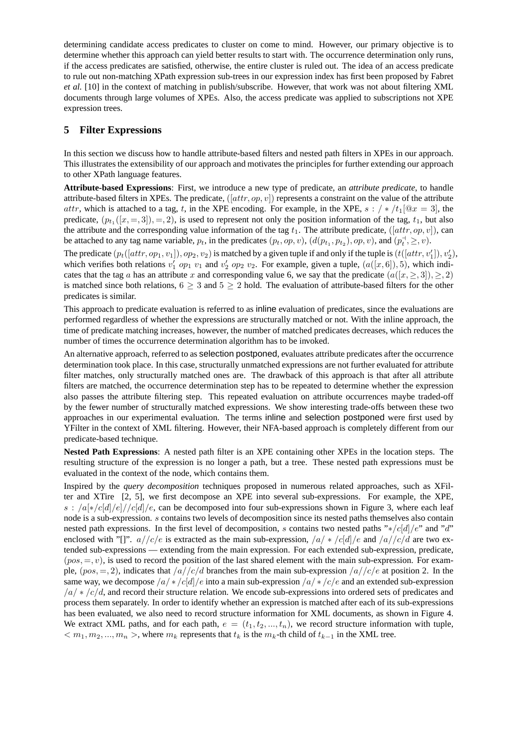determining candidate access predicates to cluster on come to mind. However, our primary objective is to determine whether this approach can yield better results to start with. The occurrence determination only runs, if the access predicates are satisfied, otherwise, the entire cluster is ruled out. The idea of an access predicate to rule out non-matching XPath expression sub-trees in our expression index has first been proposed by Fabret *et al.* [10] in the context of matching in publish/subscribe. However, that work was not about filtering XML documents through large volumes of XPEs. Also, the access predicate was applied to subscriptions not XPE expression trees.

# **5 Filter Expressions**

In this section we discuss how to handle attribute-based filters and nested path filters in XPEs in our approach. This illustrates the extensibility of our approach and motivates the principles for further extending our approach to other XPath language features.

**Attribute-based Expressions**: First, we introduce a new type of predicate, an *attribute predicate*, to handle attribute-based filters in XPEs. The predicate, ([ $attr, op, v$ ]) represents a constraint on the value of the attribute attr, which is attached to a tag, t, in the XPE encoding. For example, in the XPE,  $s : /*/t_1[\Omega x = 3]$ , the predicate,  $(p_{t_1}([x, =, 3]), =, 2)$ , is used to represent not only the position information of the tag,  $t_1$ , but also the attribute and the corresponding value information of the tag  $t_1$ . The attribute predicate, ([attr, op, v]), can be attached to any tag name variable,  $p_t$ , in the predicates  $(p_t, op, v)$ ,  $(d(p_{t_1}, p_{t_2}), op, v)$ , and  $(p_t^+, \geq, v)$ .

The predicate  $(p_t([attr, op_1, v_1]), op_2, v_2)$  is matched by a given tuple if and only if the tuple is  $(t([attr, v_1'], v_2'),$ which verifies both relations  $v'_1$  op<sub>1</sub>  $v_1$  and  $v'_2$  op<sub>2</sub>  $v_2$ . For example, given a tuple,  $(a([x, 6]), 5)$ , which indicates that the tag a has an attribute x and corresponding value 6, we say that the predicate  $(a([x, \geq, 3]), \geq, 2)$ is matched since both relations,  $6 \geq 3$  and  $5 \geq 2$  hold. The evaluation of attribute-based filters for the other predicates is similar.

This approach to predicate evaluation is referred to as inline evaluation of predicates, since the evaluations are performed regardless of whether the expressions are structurally matched or not. With the inline approach, the time of predicate matching increases, however, the number of matched predicates decreases, which reduces the number of times the occurrence determination algorithm has to be invoked.

An alternative approach, referred to as selection postponed, evaluates attribute predicates after the occurrence determination took place. In this case, structurally unmatched expressions are not further evaluated for attribute filter matches, only structurally matched ones are. The drawback of this approach is that after all attribute filters are matched, the occurrence determination step has to be repeated to determine whether the expression also passes the attribute filtering step. This repeated evaluation on attribute occurrences maybe traded-off by the fewer number of structurally matched expressions. We show interesting trade-offs between these two approaches in our experimental evaluation. The terms inline and selection postponed were first used by YFilter in the context of XML filtering. However, their NFA-based approach is completely different from our predicate-based technique.

**Nested Path Expressions**: A nested path filter is an XPE containing other XPEs in the location steps. The resulting structure of the expression is no longer a path, but a tree. These nested path expressions must be evaluated in the context of the node, which contains them.

Inspired by the *query decomposition* techniques proposed in numerous related approaches, such as XFilter and XTire [2, 5], we first decompose an XPE into several sub-expressions. For example, the XPE, s :  $\sqrt{a[\ast/c[d]/c]}$ /c[d])e, can be decomposed into four sub-expressions shown in Figure 3, where each leaf node is a sub-expression. s contains two levels of decomposition since its nested paths themselves also contain nested path expressions. In the first level of decomposition, s contains two nested paths "∗/c[d]/e" and "d" enclosed with "[]".  $a//c/e$  is extracted as the main sub-expression,  $/a$  \*  $/c|d|/e$  and  $/a//c/d$  are two extended sub-expressions — extending from the main expression. For each extended sub-expression, predicate,  $(pos, = v)$ , is used to record the position of the last shared element with the main sub-expression. For example,  $(pos, = 2)$ , indicates that  $\frac{a}{c/d}$  branches from the main sub-expression  $\frac{a}{c/c}$  at position 2. In the same way, we decompose  $\frac{a}{*}$  (c[d]/e into a main sub-expression  $\frac{a}{*}$  /c/e and an extended sub-expression /a/ ∗ /c/d, and record their structure relation. We encode sub-expressions into ordered sets of predicates and process them separately. In order to identify whether an expression is matched after each of its sub-expressions has been evaluated, we also need to record structure information for XML documents, as shown in Figure 4. We extract XML paths, and for each path,  $e = (t_1, t_2, ..., t_n)$ , we record structure information with tuple,  $m_1, m_2, ..., m_n >$ , where  $m_k$  represents that  $t_k$  is the  $m_k$ -th child of  $t_{k-1}$  in the XML tree.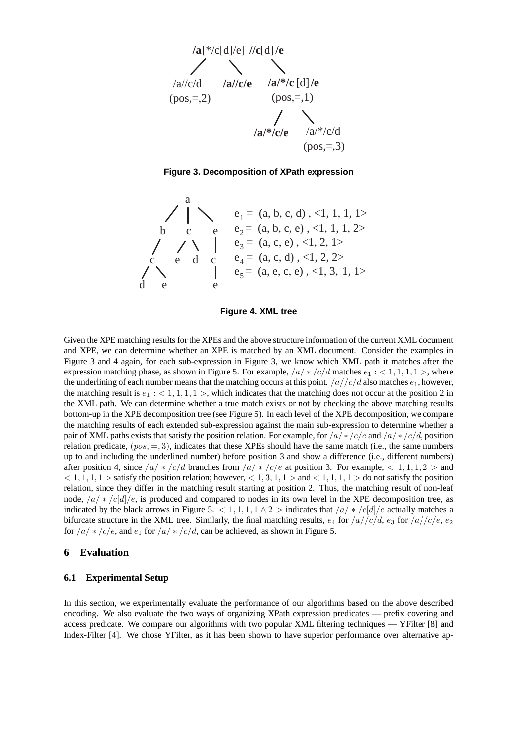

**Figure 3. Decomposition of XPath expression**

b  
\n
$$
e_1 = (a, b, c, d), <1, 1, 1, 1>
$$
  
\nb  
\nc  
\ne  
\n $e_2 = (a, b, c, e), <1, 1, 1, 2>$   
\nc  
\ne  
\nd  
\nc  
\ne  
\n $e_3 = (a, c, e), <1, 2, 1$   
\ne  
\n $e_4 = (a, c, d), <1, 2, 2$   
\ne  
\n $e_5 = (a, e, c, e), <1, 3, 1, 1$ 

**Figure 4. XML tree**

Given the XPE matching results for the XPEs and the above structure information of the current XML document and XPE, we can determine whether an XPE is matched by an XML document. Consider the examples in Figure 3 and 4 again, for each sub-expression in Figure 3, we know which XML path it matches after the expression matching phase, as shown in Figure 5. For example,  $/a$  \*  $/c/d$  matches  $e_1$  : < 1, 1, 1, 1 >, where the underlining of each number means that the matching occurs at this point.  $\frac{a}{c/d}$  also matches  $e_1$ , however, the matching result is  $e_1 : \langle 1,1,1,1 \rangle$ , which indicates that the matching does not occur at the position 2 in the XML path. We can determine whether a true match exists or not by checking the above matching results bottom-up in the XPE decomposition tree (see Figure 5). In each level of the XPE decomposition, we compare the matching results of each extended sub-expression against the main sub-expression to determine whether a pair of XML paths exists that satisfy the position relation. For example, for  $\frac{a}{\times}$  /c/e and  $\frac{a}{\times}$  /c/d, position relation predicate,  $(pos, =, 3)$ , indicates that these XPEs should have the same match (i.e., the same numbers up to and including the underlined number) before position 3 and show a difference (i.e., different numbers) after position 4, since  $/a$  \*  $/c/d$  branches from  $/a$  \*  $/c/e$  at position 3. For example,  $< 1, 1, 1, 2 >$  and  $< 1, 1, 1, 1 \geq$  satisfy the position relation; however,  $< 1, 3, 1, 1 >$  and  $< 1, 1, 1, 1 >$  do not satisfy the position relation, since they differ in the matching result starting at position 2. Thus, the matching result of non-leaf node,  $\frac{a}{*}$  /c[d]/e, is produced and compared to nodes in its own level in the XPE decomposition tree, as indicated by the black arrows in Figure 5.  $\lt 1, 1, 1, 1 \wedge 2$  > indicates that  $\frac{a}{\approx}$  /c[d]/e actually matches a bifurcate structure in the XML tree. Similarly, the final matching results,  $e_4$  for  $\frac{a}{c/d}$ ,  $e_3$  for  $\frac{a}{c}/e$ ,  $e_2$ for  $\sqrt{a}$  \*  $\sqrt{c}/e$ , and  $e_1$  for  $\sqrt{a}$  \*  $\sqrt{c}/d$ , can be achieved, as shown in Figure 5.

### **6 Evaluation**

#### **6.1 Experimental Setup**

In this section, we experimentally evaluate the performance of our algorithms based on the above described encoding. We also evaluate the two ways of organizing XPath expression predicates — prefix covering and access predicate. We compare our algorithms with two popular XML filtering techniques — YFilter [8] and Index-Filter [4]. We chose YFilter, as it has been shown to have superior performance over alternative ap-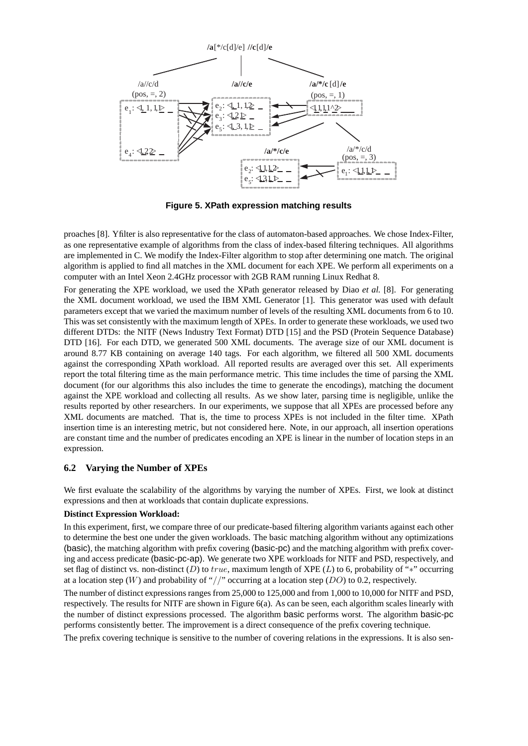

**Figure 5. XPath expression matching results**

proaches [8]. Yfilter is also representative for the class of automaton-based approaches. We chose Index-Filter, as one representative example of algorithms from the class of index-based filtering techniques. All algorithms are implemented in C. We modify the Index-Filter algorithm to stop after determining one match. The original algorithm is applied to find all matches in the XML document for each XPE. We perform all experiments on a computer with an Intel Xeon 2.4GHz processor with 2GB RAM running Linux Redhat 8.

For generating the XPE workload, we used the XPath generator released by Diao *et al.* [8]. For generating the XML document workload, we used the IBM XML Generator [1]. This generator was used with default parameters except that we varied the maximum number of levels of the resulting XML documents from 6 to 10. This was set consistently with the maximum length of XPEs. In order to generate these workloads, we used two different DTDs: the NITF (News Industry Text Format) DTD [15] and the PSD (Protein Sequence Database) DTD [16]. For each DTD, we generated 500 XML documents. The average size of our XML document is around 8.77 KB containing on average 140 tags. For each algorithm, we filtered all 500 XML documents against the corresponding XPath workload. All reported results are averaged over this set. All experiments report the total filtering time as the main performance metric. This time includes the time of parsing the XML document (for our algorithms this also includes the time to generate the encodings), matching the document against the XPE workload and collecting all results. As we show later, parsing time is negligible, unlike the results reported by other researchers. In our experiments, we suppose that all XPEs are processed before any XML documents are matched. That is, the time to process XPEs is not included in the filter time. XPath insertion time is an interesting metric, but not considered here. Note, in our approach, all insertion operations are constant time and the number of predicates encoding an XPE is linear in the number of location steps in an expression.

# **6.2 Varying the Number of XPEs**

We first evaluate the scalability of the algorithms by varying the number of XPEs. First, we look at distinct expressions and then at workloads that contain duplicate expressions.

### **Distinct Expression Workload:**

In this experiment, first, we compare three of our predicate-based filtering algorithm variants against each other to determine the best one under the given workloads. The basic matching algorithm without any optimizations (basic), the matching algorithm with prefix covering (basic-pc) and the matching algorithm with prefix covering and access predicate (basic-pc-ap). We generate two XPE workloads for NITF and PSD, respectively, and set flag of distinct vs. non-distinct  $(D)$  to true, maximum length of XPE  $(L)$  to 6, probability of "∗" occurring at a location step (W) and probability of "//" occurring at a location step (DO) to 0.2, respectively.

The number of distinct expressions ranges from 25,000 to 125,000 and from 1,000 to 10,000 for NITF and PSD, respectively. The results for NITF are shown in Figure 6(a). As can be seen, each algorithm scales linearly with the number of distinct expressions processed. The algorithm basic performs worst. The algorithm basic-pc performs consistently better. The improvement is a direct consequence of the prefix covering technique.

The prefix covering technique is sensitive to the number of covering relations in the expressions. It is also sen-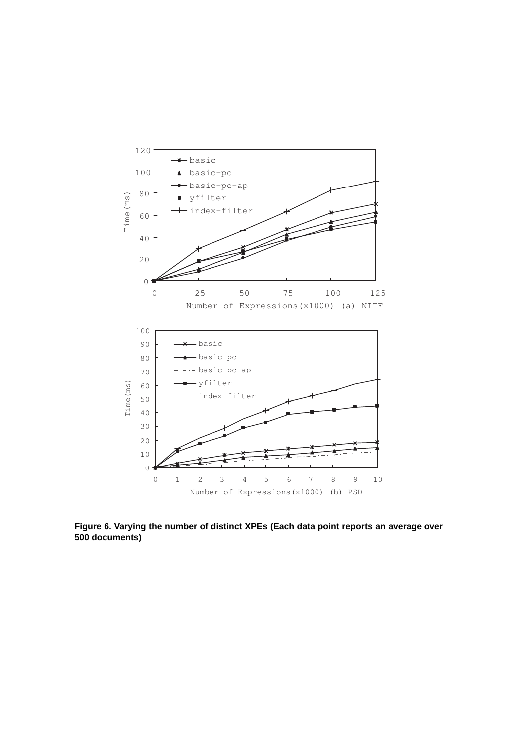

**Figure 6. Varying the number of distinct XPEs (Each data point reports an average over 500 documents)**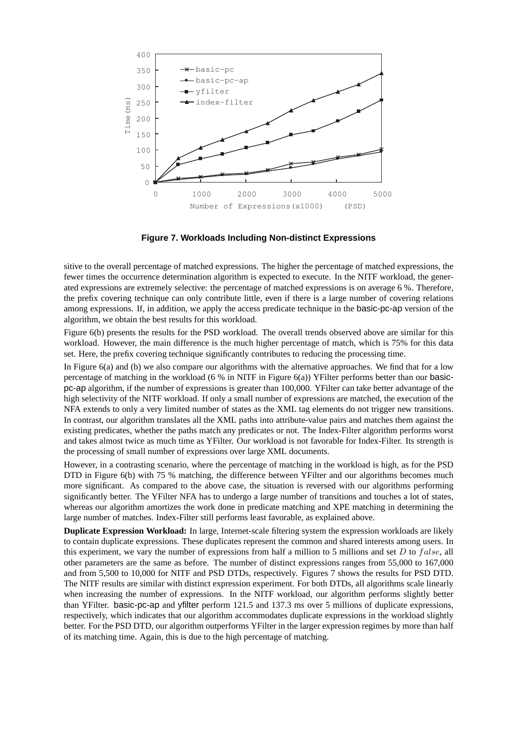

**Figure 7. Workloads Including Non-distinct Expressions**

sitive to the overall percentage of matched expressions. The higher the percentage of matched expressions, the fewer times the occurrence determination algorithm is expected to execute. In the NITF workload, the generated expressions are extremely selective: the percentage of matched expressions is on average 6 %. Therefore, the prefix covering technique can only contribute little, even if there is a large number of covering relations among expressions. If, in addition, we apply the access predicate technique in the basic-pc-ap version of the algorithm, we obtain the best results for this workload.

Figure 6(b) presents the results for the PSD workload. The overall trends observed above are similar for this workload. However, the main difference is the much higher percentage of match, which is 75% for this data set. Here, the prefix covering technique significantly contributes to reducing the processing time.

In Figure 6(a) and (b) we also compare our algorithms with the alternative approaches. We find that for a low percentage of matching in the workload (6 % in NITF in Figure 6(a)) YFilter performs better than our basicpc-ap algorithm, if the number of expressions is greater than 100,000. YFilter can take better advantage of the high selectivity of the NITF workload. If only a small number of expressions are matched, the execution of the NFA extends to only a very limited number of states as the XML tag elements do not trigger new transitions. In contrast, our algorithm translates all the XML paths into attribute-value pairs and matches them against the existing predicates, whether the paths match any predicates or not. The Index-Filter algorithm performs worst and takes almost twice as much time as YFilter. Our workload is not favorable for Index-Filter. Its strength is the processing of small number of expressions over large XML documents.

However, in a contrasting scenario, where the percentage of matching in the workload is high, as for the PSD DTD in Figure 6(b) with 75 % matching, the difference between YFilter and our algorithms becomes much more significant. As compared to the above case, the situation is reversed with our algorithms performing significantly better. The YFilter NFA has to undergo a large number of transitions and touches a lot of states, whereas our algorithm amortizes the work done in predicate matching and XPE matching in determining the large number of matches. Index-Filter still performs least favorable, as explained above.

**Duplicate Expression Workload:** In large, Internet-scale filtering system the expression workloads are likely to contain duplicate expressions. These duplicates represent the common and shared interests among users. In this experiment, we vary the number of expressions from half a million to 5 millions and set  $D$  to  $false$ , all other parameters are the same as before. The number of distinct expressions ranges from 55,000 to 167,000 and from 5,500 to 10,000 for NITF and PSD DTDs, respectively. Figures 7 shows the results for PSD DTD. The NITF results are similar with distinct expression experiment. For both DTDs, all algorithms scale linearly when increasing the number of expressions. In the NITF workload, our algorithm performs slightly better than YFilter. basic-pc-ap and yfilter perform 121.5 and 137.3 ms over 5 millions of duplicate expressions, respectively, which indicates that our algorithm accommodates duplicate expressions in the workload slightly better. For the PSD DTD, our algorithm outperforms YFilter in the larger expression regimes by more than half of its matching time. Again, this is due to the high percentage of matching.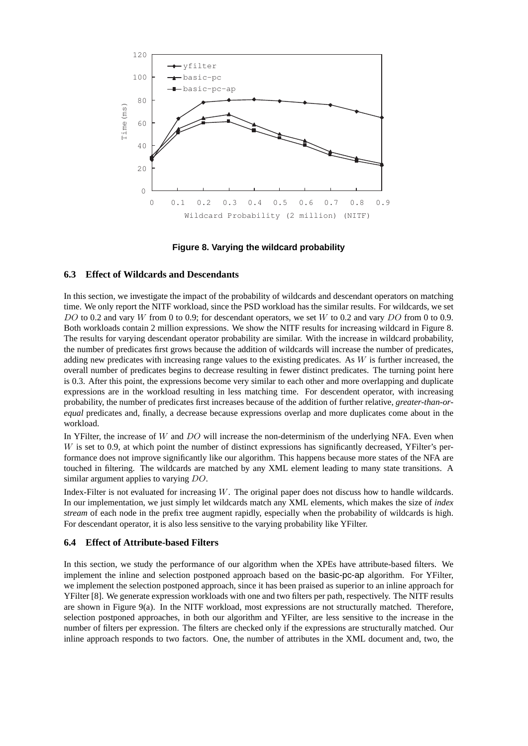

**Figure 8. Varying the wildcard probability**

### **6.3 Effect of Wildcards and Descendants**

In this section, we investigate the impact of the probability of wildcards and descendant operators on matching time. We only report the NITF workload, since the PSD workload has the similar results. For wildcards, we set DO to 0.2 and vary W from 0 to 0.9; for descendant operators, we set W to 0.2 and vary DO from 0 to 0.9. Both workloads contain 2 million expressions. We show the NITF results for increasing wildcard in Figure 8. The results for varying descendant operator probability are similar. With the increase in wildcard probability, the number of predicates first grows because the addition of wildcards will increase the number of predicates, adding new predicates with increasing range values to the existing predicates. As W is further increased, the overall number of predicates begins to decrease resulting in fewer distinct predicates. The turning point here is 0.3. After this point, the expressions become very similar to each other and more overlapping and duplicate expressions are in the workload resulting in less matching time. For descendent operator, with increasing probability, the number of predicates first increases because of the addition of further relative, *greater-than-orequal* predicates and, finally, a decrease because expressions overlap and more duplicates come about in the workload.

In YFilter, the increase of W and  $DO$  will increase the non-determinism of the underlying NFA. Even when W is set to 0.9, at which point the number of distinct expressions has significantly decreased, YFilter's performance does not improve significantly like our algorithm. This happens because more states of the NFA are touched in filtering. The wildcards are matched by any XML element leading to many state transitions. A similar argument applies to varying DO.

Index-Filter is not evaluated for increasing W. The original paper does not discuss how to handle wildcards. In our implementation, we just simply let wildcards match any XML elements, which makes the size of *index stream* of each node in the prefix tree augment rapidly, especially when the probability of wildcards is high. For descendant operator, it is also less sensitive to the varying probability like YFilter.

### **6.4 Effect of Attribute-based Filters**

In this section, we study the performance of our algorithm when the XPEs have attribute-based filters. We implement the inline and selection postponed approach based on the basic-pc-ap algorithm. For YFilter, we implement the selection postponed approach, since it has been praised as superior to an inline approach for YFilter [8]. We generate expression workloads with one and two filters per path, respectively. The NITF results are shown in Figure 9(a). In the NITF workload, most expressions are not structurally matched. Therefore, selection postponed approaches, in both our algorithm and YFilter, are less sensitive to the increase in the number of filters per expression. The filters are checked only if the expressions are structurally matched. Our inline approach responds to two factors. One, the number of attributes in the XML document and, two, the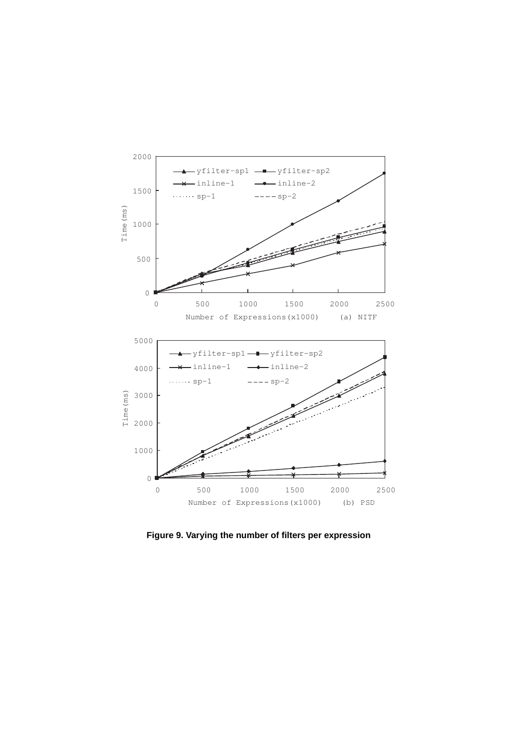

**Figure 9. Varying the number of filters per expression**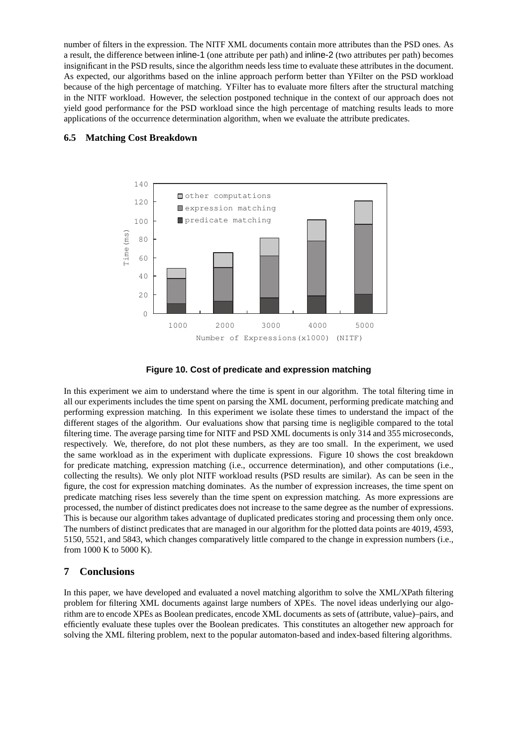number of filters in the expression. The NITF XML documents contain more attributes than the PSD ones. As a result, the difference between inline-1 (one attribute per path) and inline-2 (two attributes per path) becomes insignificant in the PSD results, since the algorithm needs less time to evaluate these attributes in the document. As expected, our algorithms based on the inline approach perform better than YFilter on the PSD workload because of the high percentage of matching. YFilter has to evaluate more filters after the structural matching in the NITF workload. However, the selection postponed technique in the context of our approach does not yield good performance for the PSD workload since the high percentage of matching results leads to more applications of the occurrence determination algorithm, when we evaluate the attribute predicates.

### **6.5 Matching Cost Breakdown**



**Figure 10. Cost of predicate and expression matching**

In this experiment we aim to understand where the time is spent in our algorithm. The total filtering time in all our experiments includes the time spent on parsing the XML document, performing predicate matching and performing expression matching. In this experiment we isolate these times to understand the impact of the different stages of the algorithm. Our evaluations show that parsing time is negligible compared to the total filtering time. The average parsing time for NITF and PSD XML documents is only 314 and 355 microseconds, respectively. We, therefore, do not plot these numbers, as they are too small. In the experiment, we used the same workload as in the experiment with duplicate expressions. Figure 10 shows the cost breakdown for predicate matching, expression matching (i.e., occurrence determination), and other computations (i.e., collecting the results). We only plot NITF workload results (PSD results are similar). As can be seen in the figure, the cost for expression matching dominates. As the number of expression increases, the time spent on predicate matching rises less severely than the time spent on expression matching. As more expressions are processed, the number of distinct predicates does not increase to the same degree as the number of expressions. This is because our algorithm takes advantage of duplicated predicates storing and processing them only once. The numbers of distinct predicates that are managed in our algorithm for the plotted data points are 4019, 4593, 5150, 5521, and 5843, which changes comparatively little compared to the change in expression numbers (i.e., from 1000 K to 5000 K).

# **7 Conclusions**

In this paper, we have developed and evaluated a novel matching algorithm to solve the XML/XPath filtering problem for filtering XML documents against large numbers of XPEs. The novel ideas underlying our algorithm are to encode XPEs as Boolean predicates, encode XML documents as sets of (attribute, value)–pairs, and efficiently evaluate these tuples over the Boolean predicates. This constitutes an altogether new approach for solving the XML filtering problem, next to the popular automaton-based and index-based filtering algorithms.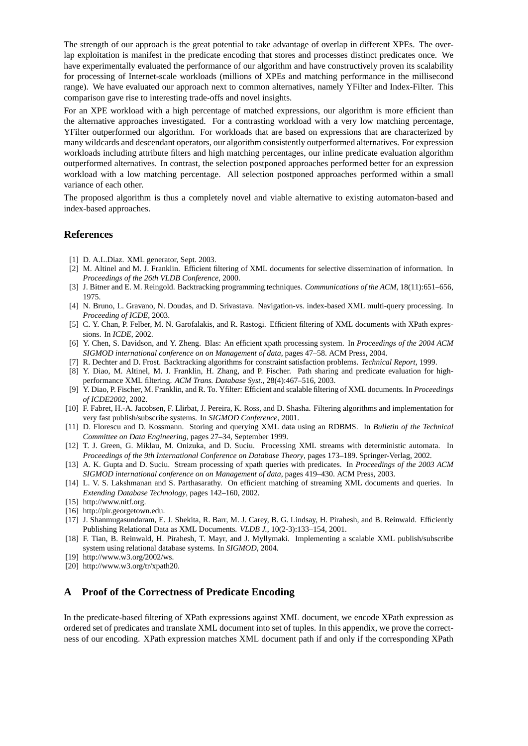The strength of our approach is the great potential to take advantage of overlap in different XPEs. The overlap exploitation is manifest in the predicate encoding that stores and processes distinct predicates once. We have experimentally evaluated the performance of our algorithm and have constructively proven its scalability for processing of Internet-scale workloads (millions of XPEs and matching performance in the millisecond range). We have evaluated our approach next to common alternatives, namely YFilter and Index-Filter. This comparison gave rise to interesting trade-offs and novel insights.

For an XPE workload with a high percentage of matched expressions, our algorithm is more efficient than the alternative approaches investigated. For a contrasting workload with a very low matching percentage, YFilter outperformed our algorithm. For workloads that are based on expressions that are characterized by many wildcards and descendant operators, our algorithm consistently outperformed alternatives. For expression workloads including attribute filters and high matching percentages, our inline predicate evaluation algorithm outperformed alternatives. In contrast, the selection postponed approaches performed better for an expression workload with a low matching percentage. All selection postponed approaches performed within a small variance of each other.

The proposed algorithm is thus a completely novel and viable alternative to existing automaton-based and index-based approaches.

#### **References**

- [1] D. A.L.Diaz. XML generator, Sept. 2003.
- [2] M. Altinel and M. J. Franklin. Efficient filtering of XML documents for selective dissemination of information. In *Proceedings of the 26th VLDB Conference*, 2000.
- [3] J. Bitner and E. M. Reingold. Backtracking programming techniques. *Communications of the ACM*, 18(11):651–656, 1975.
- [4] N. Bruno, L. Gravano, N. Doudas, and D. Srivastava. Navigation-vs. index-based XML multi-query processing. In *Proceeding of ICDE*, 2003.
- [5] C. Y. Chan, P. Felber, M. N. Garofalakis, and R. Rastogi. Efficient filtering of XML documents with XPath expressions. In *ICDE*, 2002.
- [6] Y. Chen, S. Davidson, and Y. Zheng. Blas: An efficient xpath processing system. In *Proceedings of the 2004 ACM SIGMOD international conference on on Management of data*, pages 47–58. ACM Press, 2004.
- [7] R. Dechter and D. Frost. Backtracking algorithms for constraint satisfaction problems. *Technical Report*, 1999.
- [8] Y. Diao, M. Altinel, M. J. Franklin, H. Zhang, and P. Fischer. Path sharing and predicate evaluation for highperformance XML filtering. *ACM Trans. Database Syst.*, 28(4):467–516, 2003.
- [9] Y. Diao, P. Fischer, M. Franklin, and R. To. Yfilter: Efficient and scalable filtering of XML documents. In *Proceedings of ICDE2002*, 2002.
- [10] F. Fabret, H.-A. Jacobsen, F. Llirbat, J. Pereira, K. Ross, and D. Shasha. Filtering algorithms and implementation for very fast publish/subscribe systems. In *SIGMOD Conference*, 2001.
- [11] D. Florescu and D. Kossmann. Storing and querying XML data using an RDBMS. In *Bulletin of the Technical Committee on Data Engineering*, pages 27–34, September 1999.
- [12] T. J. Green, G. Miklau, M. Onizuka, and D. Suciu. Processing XML streams with deterministic automata. In *Proceedings of the 9th International Conference on Database Theory*, pages 173–189. Springer-Verlag, 2002.
- [13] A. K. Gupta and D. Suciu. Stream processing of xpath queries with predicates. In *Proceedings of the 2003 ACM SIGMOD international conference on on Management of data*, pages 419–430. ACM Press, 2003.
- [14] L. V. S. Lakshmanan and S. Parthasarathy. On efficient matching of streaming XML documents and queries. In *Extending Database Technology*, pages 142–160, 2002.
- [15] http://www.nitf.org.
- [16] http://pir.georgetown.edu.
- [17] J. Shanmugasundaram, E. J. Shekita, R. Barr, M. J. Carey, B. G. Lindsay, H. Pirahesh, and B. Reinwald. Efficiently Publishing Relational Data as XML Documents. *VLDB J.*, 10(2-3):133–154, 2001.
- [18] F. Tian, B. Reinwald, H. Pirahesh, T. Mayr, and J. Myllymaki. Implementing a scalable XML publish/subscribe system using relational database systems. In *SIGMOD*, 2004.
- [19] http://www.w3.org/2002/ws.
- [20] http://www.w3.org/tr/xpath20.

# **A Proof of the Correctness of Predicate Encoding**

In the predicate-based filtering of XPath expressions against XML document, we encode XPath expression as ordered set of predicates and translate XML document into set of tuples. In this appendix, we prove the correctness of our encoding. XPath expression matches XML document path if and only if the corresponding XPath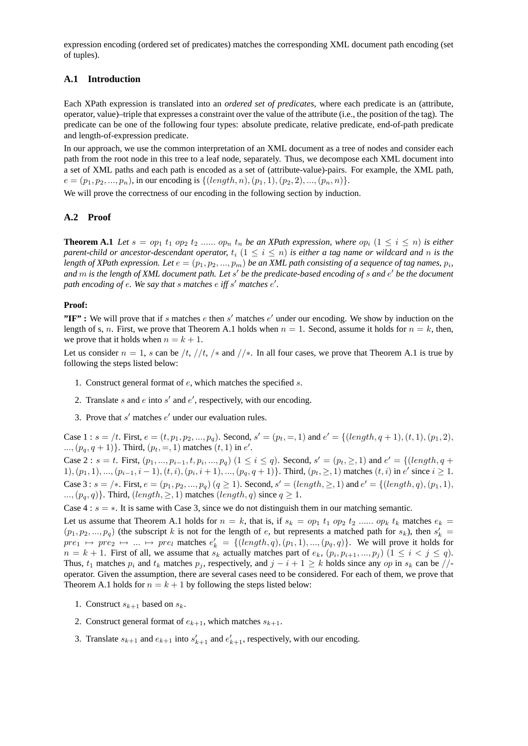expression encoding (ordered set of predicates) matches the corresponding XML document path encoding (set of tuples).

### **A.1 Introduction**

Each XPath expression is translated into an *ordered set of predicates*, where each predicate is an (attribute, operator, value)–triple that expresses a constraint over the value of the attribute (i.e., the position of the tag). The predicate can be one of the following four types: absolute predicate, relative predicate, end-of-path predicate and length-of-expression predicate.

In our approach, we use the common interpretation of an XML document as a tree of nodes and consider each path from the root node in this tree to a leaf node, separately. Thus, we decompose each XML document into a set of XML paths and each path is encoded as a set of (attribute-value)-pairs. For example, the XML path,  $e = (p_1, p_2, ..., p_n)$ , in our encoding is  $\{(\text{length}, n), (p_1, 1), (p_2, 2), ..., (p_n, n)\}.$ 

We will prove the correctness of our encoding in the following section by induction.

#### **A.2 Proof**

**Theorem A.1** Let  $s = op_1 t_1 op_2 t_2 ..... op_n t_n$  be an XPath expression, where  $op_i (1 \leq i \leq n)$  is either *parent-child or ancestor-descendant operator,*  $t_i$  ( $1 \leq i \leq n$ ) *is either a tag name or wildcard and n is the* length of XPath expression. Let  $e = (p_1, p_2, ..., p_m)$  be an XML path consisting of a sequence of tag names,  $p_i$ , and m is the length of XML document path. Let s' be the predicate-based encoding of s and  $e'$  be the document path encoding of e. We say that s matches  $e$  iff s' matches  $e'$ .

#### **Proof:**

"IF": We will prove that if s matches  $e$  then  $s'$  matches  $e'$  under our encoding. We show by induction on the length of s, n. First, we prove that Theorem A.1 holds when  $n = 1$ . Second, assume it holds for  $n = k$ , then, we prove that it holds when  $n = k + 1$ .

Let us consider  $n = 1$ , s can be /t, //t, /\* and //\*. In all four cases, we prove that Theorem A.1 is true by following the steps listed below:

- 1. Construct general format of  $e$ , which matches the specified  $s$ .
- 2. Translate s and e into s' and  $e'$ , respectively, with our encoding.
- 3. Prove that  $s'$  matches  $e'$  under our evaluation rules.

Case 1 :  $s = /t$ . First,  $e = (t, p_1, p_2, ..., p_q)$ . Second,  $s' = (p_t, =, 1)$  and  $e' = \{(length, q + 1), (t, 1), (p_1, 2),$ ...,  $(p_q, q + 1)$ . Third,  $(p_t, =, 1)$  matches  $(t, 1)$  in  $e'$ .

Case 2 :  $s = t$ . First,  $(p_1, ..., p_{i-1}, t, p_i, ..., p_q)$   $(1 \le i \le q)$ . Second,  $s' = (p_t, \ge 1)$  and  $e' = \{(\text{length}, q + \text{length})\}$ 1),  $(p_1, 1), ..., (p_{i-1}, i-1), (t, i), (p_i, i+1), ..., (p_q, q+1)$ . Third,  $(p_t, \ge 1)$  matches  $(t, i)$  in  $e'$  since  $i \ge 1$ . Case 3 :  $s = \sqrt{*}$ . First,  $e = (p_1, p_2, ..., p_q)$   $(q \ge 1)$ . Second,  $s' = (length, \ge 1)$  and  $e' = \{(length, q), (p_1, 1),$ ...,  $(p_q, q)$ . Third,  $(length, \ge 1)$  matches  $(length, q)$  since  $q \ge 1$ .

Case 4 :  $s = *$ . It is same with Case 3, since we do not distinguish them in our matching semantic.

Let us assume that Theorem A.1 holds for  $n = k$ , that is, if  $s_k = op_1 t_1 op_2 t_2 ..... op_k t_k$  matches  $e_k =$  $(p_1, p_2, ..., p_q)$  (the subscript k is not for the length of e, but represents a matched path for  $s_k$ ), then  $s'_k$  $pre_1 \rightarrow pre_2 \rightarrow ... \rightarrow pre_l$  matches  $e'_k = \{(length, q), (p_1, 1), ..., (p_q, q)\}$ . We will prove it holds for  $n = k + 1$ . First of all, we assume that  $s_k$  actually matches part of  $e_k$ ,  $(p_i, p_{i+1}, ..., p_j)$   $(1 \le i < j \le q)$ . Thus,  $t_1$  matches  $p_i$  and  $t_k$  matches  $p_j$ , respectively, and  $j - i + 1 \geq k$  holds since any op in  $s_k$  can be  $/$ operator. Given the assumption, there are several cases need to be considered. For each of them, we prove that Theorem A.1 holds for  $n = k + 1$  by following the steps listed below:

- 1. Construct  $s_{k+1}$  based on  $s_k$ .
- 2. Construct general format of  $e_{k+1}$ , which matches  $s_{k+1}$ .
- 3. Translate  $s_{k+1}$  and  $e_{k+1}$  into  $s'_{k+1}$  and  $e'_{k+1}$ , respectively, with our encoding.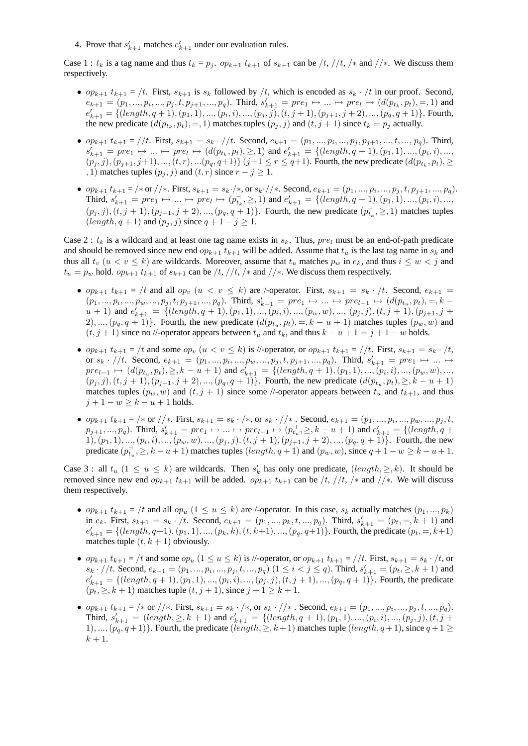4. Prove that  $s'_{k+1}$  matches  $e'_{k+1}$  under our evaluation rules.

Case 1 :  $t_k$  is a tag name and thus  $t_k = p_j$ .  $op_{k+1} t_{k+1}$  of  $s_{k+1}$  can be /t, //t, /\* and //\*. We discuss them respectively.

- $op_{k+1} t_{k+1} = /t$ . First,  $s_{k+1}$  is  $s_k$  followed by  $/t$ , which is encoded as  $s_k \cdot /t$  in our proof. Second,  $e_{k+1} = (p_1, ..., p_i, ..., p_j, t, p_{j+1}, ..., p_q)$ . Third,  $s'_{k+1} = pre_1 \mapsto ... \mapsto pre_l \mapsto (d(p_{t_k}, p_t), =, 1)$  and  $e'_{k+1} = \{(\text{length}, q+1), (p_1, 1), ..., (p_i, i), ..., (p_j, j), (t, j+1), (p_{j+1}, j+2), ..., (p_q, q+1)\}.$  Fourth, the new predicate  $(d(p_{t_k}, p_t), = 1)$  matches tuples  $(p_j, j)$  and  $(t, j + 1)$  since  $t_k = p_j$  actually.
- $op_{k+1} t_{k+1} = //t$ . First,  $s_{k+1} = s_k \cdot //t$ . Second,  $e_{k+1} = (p_1, ..., p_i, ..., p_j, p_{j+1}, ..., t, ..., p_q)$ . Third,  $s'_{k+1} = pre_1 \mapsto ... \mapsto pre_l \mapsto (d(p_{t_k}, p_t), \ge 1)$  and  $e'_{k+1} = \{(length, q + 1), (p_1, 1), ..., (p_i, i), ...,$  $(p_j, j), (p_{j+1}, j+1), ..., (t, r), ..., (p_q, q+1) \}$   $(j+1 \le r \le q+1)$ . Fourth, the new predicate  $(d(p_{t_k}, p_t), \ge$ , 1) matches tuples  $(p_j, j)$  and  $(t, r)$  since  $r - j \ge 1$ .
- $op_{k+1} t_{k+1} = \frac{\varkappa}{r} \text{ or } \frac{\varkappa}{r}$ . First,  $s_{k+1} = s_k \cdot \frac{\varkappa}{r}$ , or  $s_k \cdot \frac{\varkappa}{r}$ . Second,  $e_{k+1} = (p_1, ..., p_i, ..., p_j, t, p_{j+1}, ..., p_q)$ . Third,  $s'_{k+1} = pre_1 \mapsto ... \mapsto pre_l \mapsto (p_{t_k}^{\perp}, \ge 1)$  and  $e'_{k+1} = \{(length, q + 1), (p_1, 1), ..., (p_i, i), ...,$  $(p_j, j), (t, j + 1), (p_{j+1}, j + 2), ..., (p_q, q + 1) \}$ . Fourth, the new predicate  $(p_{t_k}^{\dagger}, \geq, 1)$  matches tuples  $(length, q + 1)$  and  $(p<sub>i</sub>, j)$  since  $q + 1 - j \ge 1$ .

Case 2 :  $t_k$  is a wildcard and at least one tag name exists in  $s_k$ . Thus,  $pre_l$  must be an end-of-path predicate and should be removed since new end  $op_{k+1} t_{k+1}$  will be added. Assume that  $t_u$  is the last tag name in  $s_k$  and thus all  $t_v$  ( $u < v \le k$ ) are wildcards. Moreover, assume that  $t_u$  matches  $p_w$  in  $e_k$ , and thus  $i \le w < j$  and  $t_u = p_w$  hold.  $op_{k+1} t_{k+1}$  of  $s_{k+1}$  can be  $/t$ ,  $/t$ ,  $/t$  and  $/t$ . We discuss them respectively.

- $op_{k+1} t_{k+1} = /t$  and all  $op_v (u < v \le k)$  are /-operator. First,  $s_{k+1} = s_k \cdot /t$ . Second,  $e_{k+1} =$  $(p_1, ..., p_i, ..., p_w, ..., p_j, t, p_{j+1}, ..., p_q)$ . Third,  $s'_{k+1} = pre_1 \mapsto ... \mapsto pre_{l-1} \mapsto (d(p_{t_u}, p_t), =, k$  $u + 1$ ) and  $e'_{k+1} = \{(length, q + 1), (p_1, 1), ..., (p_i, i), ..., (p_w, w), ..., (p_j, j), (t, j + 1), (p_{j+1}, j + 1)\}$  $2), ..., (p_q, q + 1)$ . Fourth, the new predicate  $(d(p_{t_u}, p_t), =, k - u + 1)$  matches tuples  $(p_w, w)$  and  $(t, j + 1)$  since no //-operator appears between  $t_u$  and  $t_k$ , and thus  $k - u + 1 = j + 1 - w$  holds.
- $op_{k+1} t_{k+1} = /t$  and some  $op_v (u < v \le k)$  is *//*-operator, or  $op_{k+1} t_{k+1} = //t$ . First,  $s_{k+1} = s_k \cdot /t$ , or  $s_k \cdot //t$ . Second,  $e_{k+1} = (p_1, ..., p_i, ..., p_w, ..., p_j, t, p_{j+1}, ..., p_q)$ . Third,  $s'_{k+1} = pre_1 \mapsto ... \mapsto$  $pre_{l-1} \mapsto (d(p_{t_u}, p_t), \geq, k-u+1)$  and  $e'_{k+1} = \{ (length, q+1), (p_1, 1), ..., (p_i, i), ..., (p_w, w), ...,$  $(p_j, j), (t, j + 1), (p_{j+1}, j + 2), ..., (p_q, q + 1) \}$ . Fourth, the new predicate  $(d(p_{t_u}, p_t), \geq, k - u + 1)$ matches tuples  $(p_w, w)$  and  $(t, j + 1)$  since some //-operator appears between  $t_u$  and  $t_{k+1}$ , and thus  $j+1-w \geq k-u+1$  holds.
- $op_{k+1} t_{k+1} = \frac{\varkappa}{2}$  or  $\frac{\varkappa}{2}$ . First,  $s_{k+1} = s_k \cdot \frac{\varkappa}{2}$ , or  $s_k \cdot \frac{\varkappa}{2}$ . Second,  $e_{k+1} = (p_1, ..., p_i, ..., p_w, ..., p_j, t,$  $p_{j+1},...,p_q$ ). Third,  $s'_{k+1} = pre_1 \mapsto ... \mapsto pre_{l-1} \mapsto (p_{t_u}^{\perp}, \geq, k-u+1)$  and  $e'_{k+1} = \{(length, q+1) \text{ and } n \in \{0, 1, 2, \ldots, n-1\} \}$  $1), (p_1, 1), ..., (p_i, i), ..., (p_w, w), ..., (p_j, j), (t, j + 1), (p_{j+1}, j + 2), ..., (p_q, q + 1)\}.$  Fourth, the new predicate  $(p_{t_u}^{\dagger}, \geq, k - u + 1)$  matches tuples  $(length, q + 1)$  and  $(p_w, w)$ , since  $q + 1 - w \geq k - u + 1$ .

Case 3 : all  $t_u$   $(1 \le u \le k)$  are wildcards. Then  $s'_k$  has only one predicate,  $(length, \ge k)$ . It should be removed since new end  $op_{k+1} t_{k+1}$  will be added.  $op_{k+1} t_{k+1}$  can be /t, //t, /\* and //\*. We will discuss them respectively.

- $op_{k+1} t_{k+1} = /t$  and all  $op_u (1 \le u \le k)$  are /-operator. In this case,  $s_k$  actually matches  $(p_1, ..., p_k)$ in  $e_k$ . First,  $s_{k+1} = s_k \cdot /t$ . Second,  $e_{k+1} = (p_1, ..., p_k, t, ..., p_q)$ . Third,  $s'_{k+1} = (p_t, =, k+1)$  and  $e'_{k+1} = \{(\text{length}, q+1), (p_1, 1), ..., (p_k, k), (t, k+1), ..., (p_q, q+1)\}.$  Fourth, the predicate  $(p_t, =, k+1)$ matches tuple  $(t, k + 1)$  obviously.
- op<sub>k+1</sub>  $t_{k+1} = /t$  and some  $op_u (1 \le u \le k)$  is //-operator, or  $op_{k+1} t_{k+1} = /t$ . First,  $s_{k+1} = s_k \cdot /t$ , or  $s_k \cdot //t$ . Second,  $e_{k+1} = (p_1, ..., p_i, ..., p_j, t, ..., p_q)$   $(1 \leq i < j \leq q)$ . Third,  $s'_{k+1} = (p_t, \geq, k+1)$  and  $e'_{k+1} = \{(\text{length}, q+1), (p_1, 1), ..., (p_i, i), ..., (p_j, j), (t, j+1), ..., (p_q, q+1)\}.$  Fourth, the predicate  $(p_t, \geq, k+1)$  matches tuple  $(t, j+1)$ , since  $j+1 \geq k+1$ .
- $op_{k+1} t_{k+1} = \frac{\varkappa}{2}$  or  $\frac{\varkappa}{k}$ . First,  $s_{k+1} = s_k \cdot \frac{\varkappa}{k}$ , or  $s_k \cdot \frac{\varkappa}{k}$ . Second,  $e_{k+1} = (p_1, ..., p_i, ..., p_j, t, ..., p_q)$ . Third,  $s'_{k+1} = (length, \geq, k+1)$  and  $e'_{k+1} = \{(length, q+1), (p_1, 1), ..., (p_i, i), ..., (p_j, j), (t, j+1)\}$ 1), ...,  $(p_q, q+1)$ . Fourth, the predicate  $(length, \geq, k+1)$  matches tuple  $(length, q+1)$ , since  $q+1 \geq$  $k+1$ .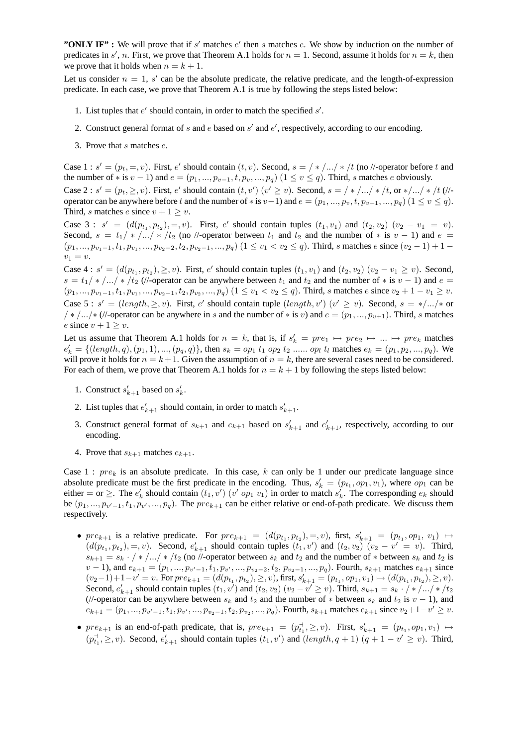"ONLY IF": We will prove that if  $s'$  matches  $e'$  then  $s$  matches  $e$ . We show by induction on the number of predicates in s', n. First, we prove that Theorem A.1 holds for  $n = 1$ . Second, assume it holds for  $n = k$ , then we prove that it holds when  $n = k + 1$ .

Let us consider  $n = 1$ , s' can be the absolute predicate, the relative predicate, and the length-of-expression predicate. In each case, we prove that Theorem A.1 is true by following the steps listed below:

- 1. List tuples that  $e'$  should contain, in order to match the specified  $s'$ .
- 2. Construct general format of s and  $e$  based on  $s'$  and  $e'$ , respectively, according to our encoding.
- 3. Prove that s matches e.

Case 1 :  $s' = (p_t, =, v)$ . First, e' should contain  $(t, v)$ . Second,  $s = \frac{\kappa}{\kappa} \cdot (-1)^k \cdot (t)$  (no  $\ell$ -operator before t and the number of  $*$  is  $v - 1$ ) and  $e = (p_1, ..., p_{v-1}, t, p_v, ..., p_q)$   $(1 \le v \le q)$ . Third, s matches e obviously.

Case 2 :  $s' = (p_t, \geq, v)$ . First, e' should contain  $(t, v')$   $(v' \geq v)$ . Second,  $s = \frac{\kappa}{\kappa} \cdot (1 + \frac{\kappa}{\kappa} \cdot (1 + \frac{\kappa}{\kappa}) \cdot (1 + \frac{\kappa}{\kappa}) \cdot (1 + \frac{\kappa}{\kappa})$ operator can be anywhere before t and the number of  $*$  is  $v-1$ ) and  $e = (p_1, ..., p_v, t, p_{v+1}, ..., p_q)$  ( $1 \le v \le q$ ). Third, s matches e since  $v + 1 > v$ .

Case 3 :  $s' = (d(p_{t_1}, p_{t_2}), =, v)$ . First, e' should contain tuples  $(t_1, v_1)$  and  $(t_2, v_2)$   $(v_2 - v_1 = v)$ . Second,  $s = t_1 / * / ... / * /t_2$  (no //-operator between  $t_1$  and  $t_2$  and the number of  $*$  is  $v - 1$ ) and  $e =$  $(p_1, ..., p_{v_1-1}, t_1, p_{v_1}, ..., p_{v_2-2}, t_2, p_{v_2-1}, ..., p_q)$   $(1 \le v_1 < v_2 \le q)$ . Third, s matches e since  $(v_2 - 1) + 1$  $v_1 = v.$ 

Case  $4: s' = (d(p_{t_1}, p_{t_2}), \geq, v)$ . First, e' should contain tuples  $(t_1, v_1)$  and  $(t_2, v_2)$   $(v_2 - v_1 \geq v)$ . Second,  $s = t_1$ / \* /.../ \* /t<sub>2</sub> (//-operator can be anywhere between t<sub>1</sub> and t<sub>2</sub> and the number of \* is v − 1) and e =  $(p_1, ..., p_{v_1-1}, t_1, p_{v_1}, ..., p_{v_2-1}, t_2, p_{v_2}, ..., p_q)$   $(1 \le v_1 < v_2 \le q)$ . Third, s matches e since  $v_2 + 1 - v_1 \ge v$ . Case 5 :  $s' = (length, \geq, v)$ . First, e' should contain tuple  $(length, v') (v' \geq v)$ . Second,  $s = *, ... \neq v$ / \* /.../\* (//-operator can be anywhere in s and the number of \* is v) and  $e = (p_1, ..., p_{v+1})$ . Third, s matches e since  $v + 1 > v$ .

Let us assume that Theorem A.1 holds for  $n = k$ , that is, if  $s'_k = pre_1 \mapsto pre_2 \mapsto ... \mapsto pre_k$  matches  $e'_{k} = \{(\text{length}, q), (p_1, 1), ..., (p_q, q)\}\$ , then  $s_k = op_1 t_1 op_2 t_2 ... op_l t_l$  matches  $e_k = (p_1, p_2, ..., p_q)$ . We will prove it holds for  $n = k + 1$ . Given the assumption of  $n = k$ , there are several cases need to be considered. For each of them, we prove that Theorem A.1 holds for  $n = k + 1$  by following the steps listed below:

- 1. Construct  $s'_{k+1}$  based on  $s'_{k}$ .
- 2. List tuples that  $e'_{k+1}$  should contain, in order to match  $s'_{k+1}$ .
- 3. Construct general format of  $s_{k+1}$  and  $e_{k+1}$  based on  $s'_{k+1}$  and  $e'_{k+1}$ , respectively, according to our encoding.
- 4. Prove that  $s_{k+1}$  matches  $e_{k+1}$ .

Case 1 :  $pre_k$  is an absolute predicate. In this case, k can only be 1 under our predicate language since absolute predicate must be the first predicate in the encoding. Thus,  $s'_k = (p_{t_1}, op_1, v_1)$ , where  $op_1$  can be either = or  $\geq$ . The  $e'_k$  should contain  $(t_1, v')$   $(v' \text{ op}_1 v_1)$  in order to match  $s'_k$ . The corresponding  $e_k$  should be  $(p_1, ..., p_{v'-1}, t_1, p_{v'}, ..., p_q)$ . The  $pre_{k+1}$  can be either relative or end-of-path predicate. We discuss them respectively.

- $pre_{k+1}$  is a relative predicate. For  $pre_{k+1} = (d(p_{t_1}, p_{t_2}), =, v)$ , first,  $s'_{k+1} = (p_{t_1}, op_1, v_1) \mapsto$  $(d(p_{t_1}, p_{t_2}), =, v)$ . Second,  $e'_{k+1}$  should contain tuples  $(t_1, v')$  and  $(t_2, v_2)$   $(v_2 - v' = v)$ . Third,  $s_{k+1} = s_k \cdot / / / / / / / / /$  (no //-operator between  $s_k$  and  $t_2$  and the number of  $*$  between  $s_k$  and  $t_2$  is  $v-1$ ), and  $e_{k+1} = (p_1, ..., p_{v'-1}, t_1, p_{v'}, ..., p_{v_2-2}, t_2, p_{v_2-1}, ..., p_q)$ . Fourth,  $s_{k+1}$  matches  $e_{k+1}$  since  $(v_2-1)+1-v'=v.$  For  $pre_{k+1}=(d(p_{t_1},p_{t_2}),\geq,v)$ , first,  $s'_{k+1}=(p_{t_1},op_1,v_1)\mapsto(d(p_{t_1},p_{t_2}),\geq,v).$ Second,  $e'_{k+1}$  should contain tuples  $(t_1, v')$  and  $(t_2, v_2)$   $(v_2 - v' \ge v)$ . Third,  $s_{k+1} = s_k \cdot /*/.../* t_2$ (//-operator can be anywhere between  $s_k$  and  $t_2$  and the number of  $*$  between  $s_k$  and  $t_2$  is  $v - 1$ ), and  $e_{k+1} = (p_1, ..., p_{v'-1}, t_1, p_{v'}, ..., p_{v_2-1}, t_2, p_{v_2}, ..., p_q)$ . Fourth,  $s_{k+1}$  matches  $e_{k+1}$  since  $v_2+1-v' \geq v$ .
- $pre_{k+1}$  is an end-of-path predicate, that is,  $pre_{k+1} = (p_{t_1}^{\perp}, \geq, v)$ . First,  $s'_{k+1} = (p_{t_1}, op_1, v_1) \mapsto$  $(p_{t_1}^{\dagger}, \geq, v)$ . Second,  $e'_{k+1}$  should contain tuples  $(t_1, v')$  and  $(length, q + 1)$   $(q + 1 - v' \geq v)$ . Third,